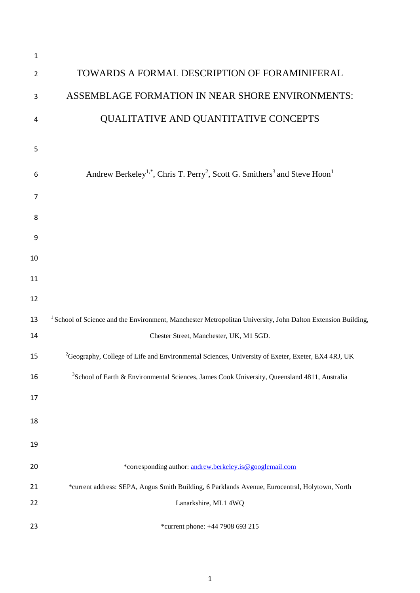| 1              |                                                                                                                           |
|----------------|---------------------------------------------------------------------------------------------------------------------------|
| $\overline{2}$ | TOWARDS A FORMAL DESCRIPTION OF FORAMINIFERAL                                                                             |
| 3              | ASSEMBLAGE FORMATION IN NEAR SHORE ENVIRONMENTS:                                                                          |
| 4              | QUALITATIVE AND QUANTITATIVE CONCEPTS                                                                                     |
| 5              |                                                                                                                           |
| 6              | Andrew Berkeley <sup>1,*</sup> , Chris T. Perry <sup>2</sup> , Scott G. Smithers <sup>3</sup> and Steve Hoon <sup>1</sup> |
| 7              |                                                                                                                           |
| 8              |                                                                                                                           |
| 9              |                                                                                                                           |
| 10             |                                                                                                                           |
| 11             |                                                                                                                           |
| 12             |                                                                                                                           |
| 13             | <sup>1</sup> School of Science and the Environment, Manchester Metropolitan University, John Dalton Extension Building,   |
| 14             | Chester Street, Manchester, UK, M1 5GD.                                                                                   |
| 15             | <sup>2</sup> Geography, College of Life and Environmental Sciences, University of Exeter, Exeter, EX4 4RJ, UK             |
| 16             | <sup>3</sup> School of Earth & Environmental Sciences, James Cook University, Queensland 4811, Australia                  |
| 17             |                                                                                                                           |
| 18             |                                                                                                                           |
| 19             |                                                                                                                           |
| 20             | *corresponding author: andrew.berkeley.is@googlemail.com                                                                  |
| 21             | *current address: SEPA, Angus Smith Building, 6 Parklands Avenue, Eurocentral, Holytown, North                            |
| 22             | Lanarkshire, ML1 4WQ                                                                                                      |
| 23             | *current phone: +44 7908 693 215                                                                                          |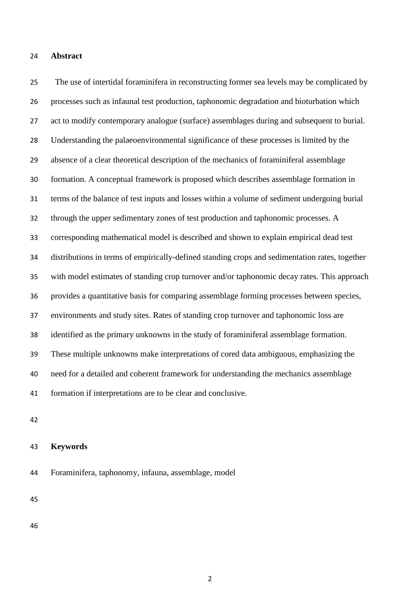#### **Abstract**

 The use of intertidal foraminifera in reconstructing former sea levels may be complicated by processes such as infaunal test production, taphonomic degradation and bioturbation which act to modify contemporary analogue (surface) assemblages during and subsequent to burial. Understanding the palaeoenvironmental significance of these processes is limited by the absence of a clear theoretical description of the mechanics of foraminiferal assemblage formation. A conceptual framework is proposed which describes assemblage formation in terms of the balance of test inputs and losses within a volume of sediment undergoing burial through the upper sedimentary zones of test production and taphonomic processes. A corresponding mathematical model is described and shown to explain empirical dead test distributions in terms of empirically-defined standing crops and sedimentation rates, together with model estimates of standing crop turnover and/or taphonomic decay rates. This approach provides a quantitative basis for comparing assemblage forming processes between species, environments and study sites. Rates of standing crop turnover and taphonomic loss are identified as the primary unknowns in the study of foraminiferal assemblage formation. These multiple unknowns make interpretations of cored data ambiguous, emphasizing the need for a detailed and coherent framework for understanding the mechanics assemblage formation if interpretations are to be clear and conclusive.

## **Keywords**

Foraminifera, taphonomy, infauna, assemblage, model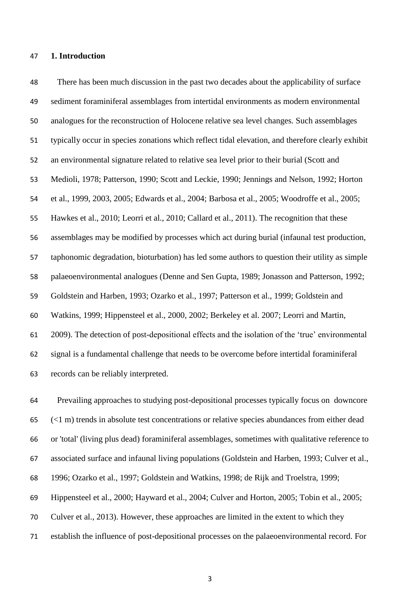#### **1. Introduction**

 There has been much discussion in the past two decades about the applicability of surface sediment foraminiferal assemblages from intertidal environments as modern environmental analogues for the reconstruction of Holocene relative sea level changes. Such assemblages typically occur in species zonations which reflect tidal elevation, and therefore clearly exhibit an environmental signature related to relative sea level prior to their burial (Scott and Medioli, 1978; Patterson, 1990; Scott and Leckie, 1990; Jennings and Nelson, 1992; Horton et al., 1999, 2003, 2005; Edwards et al., 2004; Barbosa et al., 2005; Woodroffe et al., 2005; Hawkes et al., 2010; Leorri et al., 2010; Callard et al., 2011). The recognition that these assemblages may be modified by processes which act during burial (infaunal test production, taphonomic degradation, bioturbation) has led some authors to question their utility as simple palaeoenvironmental analogues (Denne and Sen Gupta, 1989; Jonasson and Patterson, 1992; Goldstein and Harben, 1993; Ozarko et al., 1997; Patterson et al., 1999; Goldstein and Watkins, 1999; Hippensteel et al., 2000, 2002; Berkeley et al. 2007; Leorri and Martin, 2009). The detection of post-depositional effects and the isolation of the "true" environmental signal is a fundamental challenge that needs to be overcome before intertidal foraminiferal records can be reliably interpreted.

 Prevailing approaches to studying post-depositional processes typically focus on downcore (<1 m) trends in absolute test concentrations or relative species abundances from either dead or 'total' (living plus dead) foraminiferal assemblages, sometimes with qualitative reference to associated surface and infaunal living populations (Goldstein and Harben, 1993; Culver et al., 1996; Ozarko et al., 1997; Goldstein and Watkins, 1998; de Rijk and Troelstra, 1999; Hippensteel et al., 2000; Hayward et al., 2004; Culver and Horton, 2005; Tobin et al., 2005; Culver et al., 2013). However, these approaches are limited in the extent to which they establish the influence of post-depositional processes on the palaeoenvironmental record. For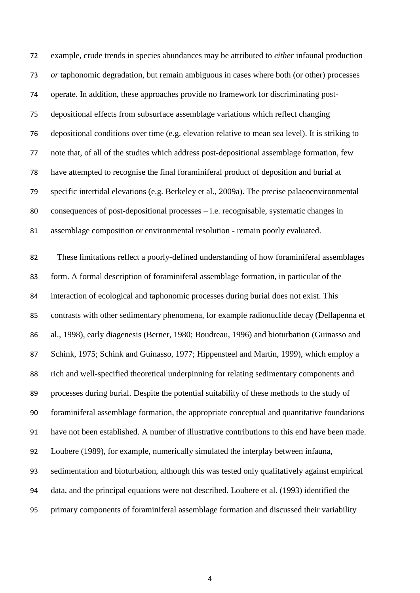example, crude trends in species abundances may be attributed to *either* infaunal production *or* taphonomic degradation, but remain ambiguous in cases where both (or other) processes operate. In addition, these approaches provide no framework for discriminating post- depositional effects from subsurface assemblage variations which reflect changing depositional conditions over time (e.g. elevation relative to mean sea level). It is striking to note that, of all of the studies which address post-depositional assemblage formation, few have attempted to recognise the final foraminiferal product of deposition and burial at specific intertidal elevations (e.g. Berkeley et al., 2009a). The precise palaeoenvironmental consequences of post-depositional processes – i.e. recognisable, systematic changes in assemblage composition or environmental resolution - remain poorly evaluated. These limitations reflect a poorly-defined understanding of how foraminiferal assemblages form. A formal description of foraminiferal assemblage formation, in particular of the interaction of ecological and taphonomic processes during burial does not exist. This contrasts with other sedimentary phenomena, for example radionuclide decay (Dellapenna et al., 1998), early diagenesis (Berner, 1980; Boudreau, 1996) and bioturbation (Guinasso and Schink, 1975; Schink and Guinasso, 1977; Hippensteel and Martin, 1999), which employ a rich and well-specified theoretical underpinning for relating sedimentary components and processes during burial. Despite the potential suitability of these methods to the study of foraminiferal assemblage formation, the appropriate conceptual and quantitative foundations have not been established. A number of illustrative contributions to this end have been made. Loubere (1989), for example, numerically simulated the interplay between infauna, sedimentation and bioturbation, although this was tested only qualitatively against empirical data, and the principal equations were not described. Loubere et al. (1993) identified the primary components of foraminiferal assemblage formation and discussed their variability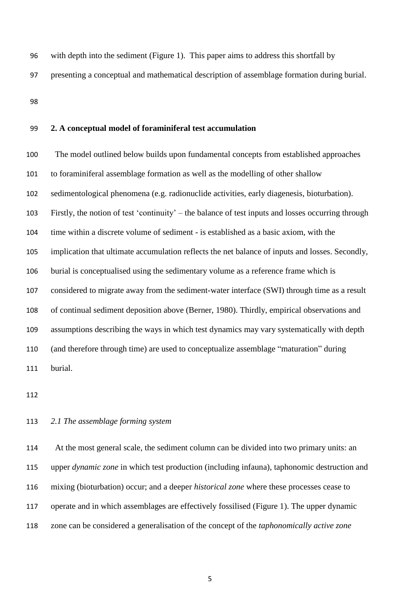- with depth into the sediment (Figure 1). This paper aims to address this shortfall by
- presenting a conceptual and mathematical description of assemblage formation during burial.
- 

#### **2. A conceptual model of foraminiferal test accumulation**

 The model outlined below builds upon fundamental concepts from established approaches to foraminiferal assemblage formation as well as the modelling of other shallow sedimentological phenomena (e.g. radionuclide activities, early diagenesis, bioturbation). Firstly, the notion of test "continuity" – the balance of test inputs and losses occurring through time within a discrete volume of sediment - is established as a basic axiom, with the implication that ultimate accumulation reflects the net balance of inputs and losses. Secondly, burial is conceptualised using the sedimentary volume as a reference frame which is considered to migrate away from the sediment-water interface (SWI) through time as a result of continual sediment deposition above (Berner, 1980). Thirdly, empirical observations and assumptions describing the ways in which test dynamics may vary systematically with depth (and therefore through time) are used to conceptualize assemblage "maturation" during burial.

### *2.1 The assemblage forming system*

 At the most general scale, the sediment column can be divided into two primary units: an upper *dynamic zone* in which test production (including infauna), taphonomic destruction and mixing (bioturbation) occur; and a deeper *historical zone* where these processes cease to operate and in which assemblages are effectively fossilised (Figure 1). The upper dynamic zone can be considered a generalisation of the concept of the *taphonomically active zone*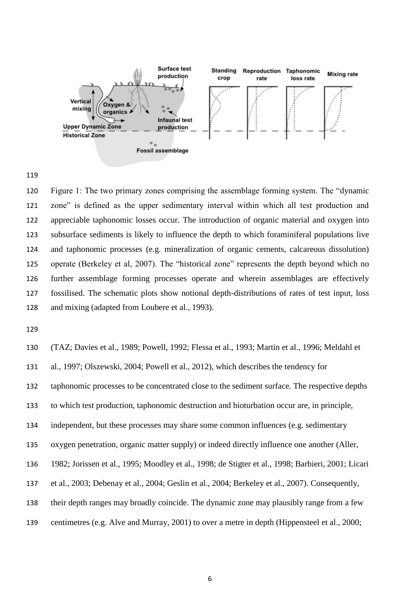

 Figure 1: The two primary zones comprising the assemblage forming system. The "dynamic zone" is defined as the upper sedimentary interval within which all test production and appreciable taphonomic losses occur. The introduction of organic material and oxygen into subsurface sediments is likely to influence the depth to which foraminiferal populations live and taphonomic processes (e.g. mineralization of organic cements, calcareous dissolution) operate (Berkeley et al, 2007). The "historical zone" represents the depth beyond which no further assemblage forming processes operate and wherein assemblages are effectively fossilised. The schematic plots show notional depth-distributions of rates of test input, loss and mixing (adapted from Loubere et al., 1993).

 (TAZ; Davies et al., 1989; Powell, 1992; Flessa et al., 1993; Martin et al., 1996; Meldahl et al., 1997; Olszewski, 2004; Powell et al., 2012), which describes the tendency for taphonomic processes to be concentrated close to the sediment surface. The respective depths to which test production, taphonomic destruction and bioturbation occur are, in principle, independent, but these processes may share some common influences (e.g. sedimentary oxygen penetration, organic matter supply) or indeed directly influence one another (Aller, 1982; Jorissen et al., 1995; Moodley et al., 1998; de Stigter et al., 1998; Barbieri, 2001; Licari et al., 2003; Debenay et al., 2004; Geslin et al., 2004; Berkeley et al., 2007). Consequently, their depth ranges may broadly coincide. The dynamic zone may plausibly range from a few centimetres (e.g. Alve and Murray, 2001) to over a metre in depth (Hippensteel et al., 2000;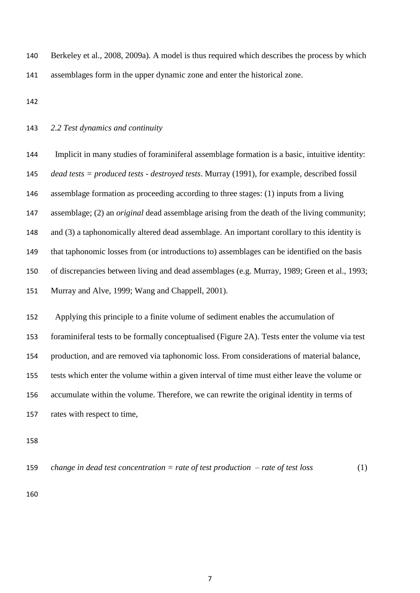| 140 | Berkeley et al., 2008, 2009a). A model is thus required which describes the process by which |
|-----|----------------------------------------------------------------------------------------------|
| 141 | assemblages form in the upper dynamic zone and enter the historical zone.                    |

#### *2.2 Test dynamics and continuity*

 Implicit in many studies of foraminiferal assemblage formation is a basic, intuitive identity: *dead tests = produced tests - destroyed tests*. Murray (1991), for example, described fossil assemblage formation as proceeding according to three stages: (1) inputs from a living assemblage; (2) an *original* dead assemblage arising from the death of the living community; and (3) a taphonomically altered dead assemblage. An important corollary to this identity is that taphonomic losses from (or introductions to) assemblages can be identified on the basis of discrepancies between living and dead assemblages (e.g. Murray, 1989; Green et al., 1993; Murray and Alve, 1999; Wang and Chappell, 2001).

 Applying this principle to a finite volume of sediment enables the accumulation of foraminiferal tests to be formally conceptualised (Figure 2A). Tests enter the volume via test production, and are removed via taphonomic loss. From considerations of material balance, tests which enter the volume within a given interval of time must either leave the volume or accumulate within the volume. Therefore, we can rewrite the original identity in terms of rates with respect to time,

159 change in dead test concentration = rate of test production – rate of test loss 
$$
(1)
$$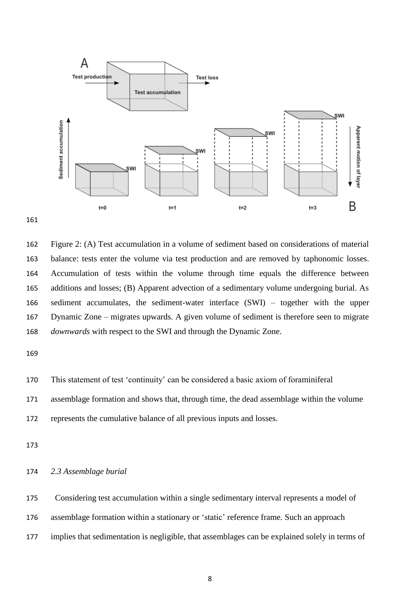

 Figure 2: (A) Test accumulation in a volume of sediment based on considerations of material balance: tests enter the volume via test production and are removed by taphonomic losses. Accumulation of tests within the volume through time equals the difference between additions and losses; (B) Apparent advection of a sedimentary volume undergoing burial. As sediment accumulates, the sediment-water interface (SWI) – together with the upper Dynamic Zone – migrates upwards. A given volume of sediment is therefore seen to migrate *downwards* with respect to the SWI and through the Dynamic Zone.

```
170 This statement of test "continuity" can be considered a basic axiom of foraminiferal
```
assemblage formation and shows that, through time, the dead assemblage within the volume

represents the cumulative balance of all previous inputs and losses.

*2.3 Assemblage burial*

Considering test accumulation within a single sedimentary interval represents a model of

assemblage formation within a stationary or "static" reference frame*.* Such an approach

implies that sedimentation is negligible, that assemblages can be explained solely in terms of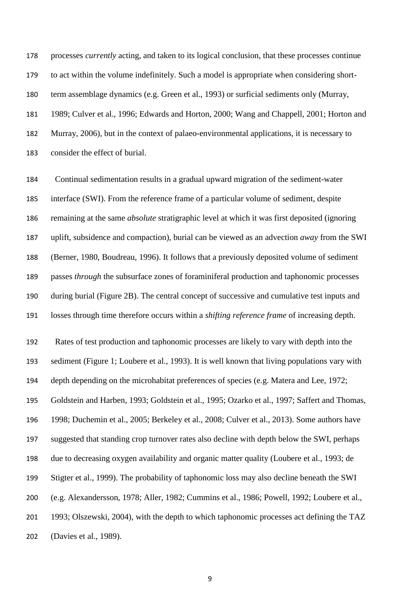processes *currently* acting, and taken to its logical conclusion, that these processes continue to act within the volume indefinitely. Such a model is appropriate when considering short- term assemblage dynamics (e.g. Green et al., 1993) or surficial sediments only (Murray, 1989; Culver et al., 1996; Edwards and Horton, 2000; Wang and Chappell, 2001; Horton and Murray, 2006), but in the context of palaeo-environmental applications, it is necessary to consider the effect of burial.

 Continual sedimentation results in a gradual upward migration of the sediment-water interface (SWI). From the reference frame of a particular volume of sediment, despite remaining at the same *absolute* stratigraphic level at which it was first deposited (ignoring uplift, subsidence and compaction), burial can be viewed as an advection *away* from the SWI (Berner, 1980, Boudreau, 1996). It follows that a previously deposited volume of sediment passes *through* the subsurface zones of foraminiferal production and taphonomic processes during burial (Figure 2B). The central concept of successive and cumulative test inputs and losses through time therefore occurs within a *shifting reference frame* of increasing depth.

 Rates of test production and taphonomic processes are likely to vary with depth into the sediment (Figure 1; Loubere et al., 1993). It is well known that living populations vary with depth depending on the microhabitat preferences of species (e.g. Matera and Lee, 1972; Goldstein and Harben, 1993; Goldstein et al., 1995; Ozarko et al., 1997; Saffert and Thomas, 1998; Duchemin et al., 2005; Berkeley et al., 2008; Culver et al., 2013). Some authors have suggested that standing crop turnover rates also decline with depth below the SWI, perhaps due to decreasing oxygen availability and organic matter quality (Loubere et al., 1993; de Stigter et al., 1999). The probability of taphonomic loss may also decline beneath the SWI (e.g. Alexandersson, 1978; Aller, 1982; Cummins et al., 1986; Powell, 1992; Loubere et al., 1993; Olszewski, 2004), with the depth to which taphonomic processes act defining the TAZ (Davies et al., 1989).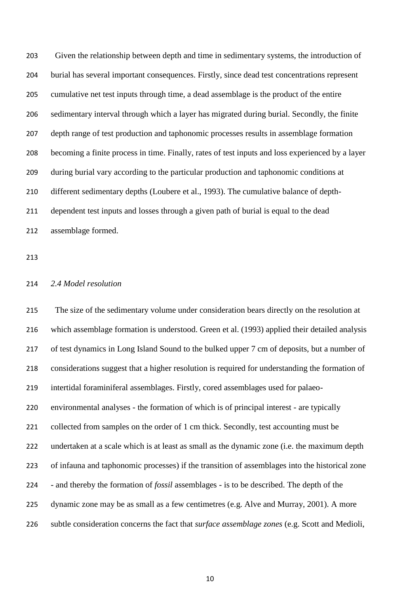Given the relationship between depth and time in sedimentary systems, the introduction of burial has several important consequences. Firstly, since dead test concentrations represent cumulative net test inputs through time, a dead assemblage is the product of the entire sedimentary interval through which a layer has migrated during burial. Secondly, the finite depth range of test production and taphonomic processes results in assemblage formation becoming a finite process in time. Finally, rates of test inputs and loss experienced by a layer during burial vary according to the particular production and taphonomic conditions at different sedimentary depths (Loubere et al., 1993). The cumulative balance of depth- dependent test inputs and losses through a given path of burial is equal to the dead assemblage formed.

## *2.4 Model resolution*

 The size of the sedimentary volume under consideration bears directly on the resolution at which assemblage formation is understood. Green et al. (1993) applied their detailed analysis of test dynamics in Long Island Sound to the bulked upper 7 cm of deposits, but a number of considerations suggest that a higher resolution is required for understanding the formation of intertidal foraminiferal assemblages. Firstly, cored assemblages used for palaeo- environmental analyses - the formation of which is of principal interest - are typically 221 collected from samples on the order of 1 cm thick. Secondly, test accounting must be undertaken at a scale which is at least as small as the dynamic zone (i.e. the maximum depth of infauna and taphonomic processes) if the transition of assemblages into the historical zone - and thereby the formation of *fossil* assemblages - is to be described. The depth of the dynamic zone may be as small as a few centimetres (e.g. Alve and Murray, 2001). A more subtle consideration concerns the fact that *surface assemblage zones* (e.g. Scott and Medioli,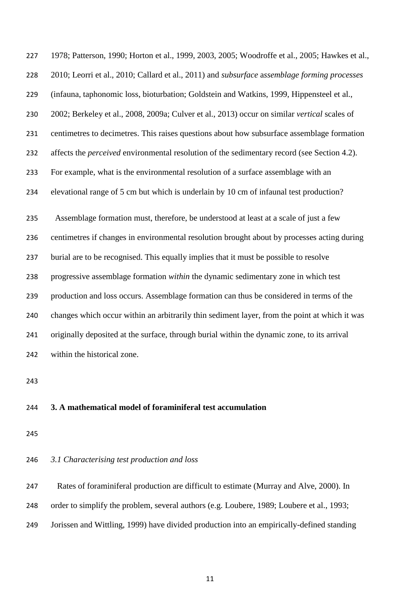| 227 | 1978; Patterson, 1990; Horton et al., 1999, 2003, 2005; Woodroffe et al., 2005; Hawkes et al.,     |
|-----|----------------------------------------------------------------------------------------------------|
| 228 | 2010; Leorri et al., 2010; Callard et al., 2011) and subsurface assemblage forming processes       |
| 229 | (infauna, taphonomic loss, bioturbation; Goldstein and Watkins, 1999, Hippensteel et al.,          |
| 230 | 2002; Berkeley et al., 2008, 2009a; Culver et al., 2013) occur on similar vertical scales of       |
| 231 | centimetres to decimetres. This raises questions about how subsurface assemblage formation         |
| 232 | affects the <i>perceived</i> environmental resolution of the sedimentary record (see Section 4.2). |
| 233 | For example, what is the environmental resolution of a surface assemblage with an                  |
| 234 | elevational range of 5 cm but which is underlain by 10 cm of infaunal test production?             |
| 235 | Assemblage formation must, therefore, be understood at least at a scale of just a few              |
| 236 | centimetres if changes in environmental resolution brought about by processes acting during        |
| 237 | burial are to be recognised. This equally implies that it must be possible to resolve              |
| 238 | progressive assemblage formation within the dynamic sedimentary zone in which test                 |
| 239 | production and loss occurs. Assemblage formation can thus be considered in terms of the            |
| 240 | changes which occur within an arbitrarily thin sediment layer, from the point at which it was      |
| 241 | originally deposited at the surface, through burial within the dynamic zone, to its arrival        |
| 242 | within the historical zone.                                                                        |
| 243 |                                                                                                    |

## **3. A mathematical model of foraminiferal test accumulation**

## *3.1 Characterising test production and loss*

 Rates of foraminiferal production are difficult to estimate (Murray and Alve, 2000). In 248 order to simplify the problem, several authors (e.g. Loubere, 1989; Loubere et al., 1993; Jorissen and Wittling, 1999) have divided production into an empirically-defined standing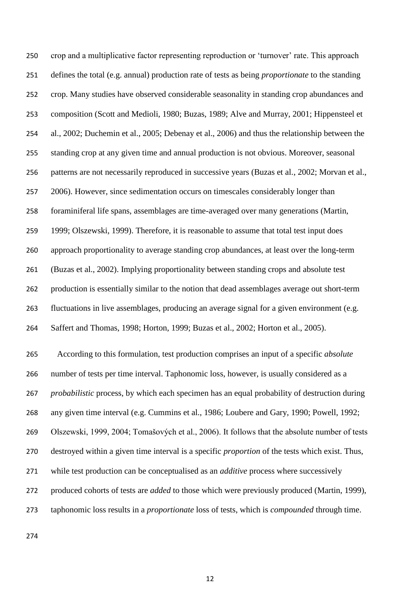crop and a multiplicative factor representing reproduction or "turnover" rate. This approach defines the total (e.g. annual) production rate of tests as being *proportionate* to the standing crop. Many studies have observed considerable seasonality in standing crop abundances and composition (Scott and Medioli, 1980; Buzas, 1989; Alve and Murray, 2001; Hippensteel et al., 2002; Duchemin et al., 2005; Debenay et al., 2006) and thus the relationship between the standing crop at any given time and annual production is not obvious. Moreover, seasonal patterns are not necessarily reproduced in successive years (Buzas et al., 2002; Morvan et al., 2006). However, since sedimentation occurs on timescales considerably longer than foraminiferal life spans, assemblages are time-averaged over many generations (Martin, 1999; Olszewski, 1999). Therefore, it is reasonable to assume that total test input does approach proportionality to average standing crop abundances, at least over the long-term (Buzas et al., 2002). Implying proportionality between standing crops and absolute test production is essentially similar to the notion that dead assemblages average out short-term fluctuations in live assemblages, producing an average signal for a given environment (e.g. Saffert and Thomas, 1998; Horton, 1999; Buzas et al., 2002; Horton et al., 2005). According to this formulation, test production comprises an input of a specific *absolute* number of tests per time interval. Taphonomic loss, however, is usually considered as a *probabilistic* process, by which each specimen has an equal probability of destruction during any given time interval (e.g. Cummins et al., 1986; Loubere and Gary, 1990; Powell, 1992; Olszewski, 1999, 2004; Tomašových et al., 2006). It follows that the absolute number of tests destroyed within a given time interval is a specific *proportion* of the tests which exist. Thus, while test production can be conceptualised as an *additive* process where successively produced cohorts of tests are *added* to those which were previously produced (Martin, 1999), taphonomic loss results in a *proportionate* loss of tests, which is *compounded* through time.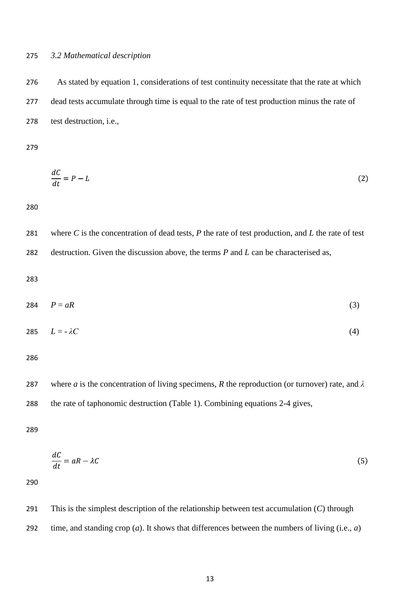#### *3.2 Mathematical description*

 As stated by equation 1, considerations of test continuity necessitate that the rate at which dead tests accumulate through time is equal to the rate of test production minus the rate of test destruction, i.e.,

$$
\frac{dC}{dt} = P - L \tag{2}
$$

 where *C* is the concentration of dead tests, *P* the rate of test production, and *L* the rate of test destruction. Given the discussion above, the terms *P* and *L* can be characterised as,

$$
284 \t P = aR \t (3)
$$

$$
285 \qquad L = -\lambda C \tag{4}
$$

 where *a* is the concentration of living specimens, *R* the reproduction (or turnover) rate, and *λ* the rate of taphonomic destruction (Table 1). Combining equations 2-4 gives,

$$
\frac{dC}{dt} = aR - \lambda C \tag{5}
$$

 This is the simplest description of the relationship between test accumulation (*C*) through time, and standing crop (*a*). It shows that differences between the numbers of living (i.e., *a*)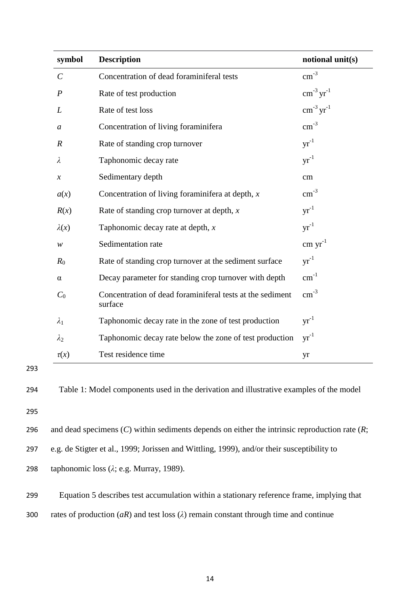| symbol                     | <b>Description</b>                                                   | notional unit(s)                |
|----------------------------|----------------------------------------------------------------------|---------------------------------|
| $\mathcal{C}_{0}^{(n)}$    | Concentration of dead foraminiferal tests                            | $\text{cm}^{-3}$                |
| $\boldsymbol{P}$           | Rate of test production                                              | $\text{cm}^{-3}\text{ yr}^{-1}$ |
| $\boldsymbol{L}$           | Rate of test loss                                                    | $\text{cm}^{-3}\text{ yr}^{-1}$ |
| $\boldsymbol{a}$           | Concentration of living foraminifera                                 | $\text{cm}^{-3}$                |
| $\boldsymbol{R}$           | Rate of standing crop turnover                                       | $yr^{-1}$                       |
| $\lambda$                  | Taphonomic decay rate                                                | $yr^{-1}$                       |
| $\boldsymbol{\mathcal{X}}$ | Sedimentary depth                                                    | cm                              |
| a(x)                       | Concentration of living foraminifera at depth, $x$                   | $\text{cm}^{-3}$                |
| R(x)                       | Rate of standing crop turnover at depth, $x$                         | $yr^{-1}$                       |
| $\lambda(x)$               | Taphonomic decay rate at depth, $x$                                  | $yr^{-1}$                       |
| ${\mathcal W}$             | Sedimentation rate                                                   | $cm \, yr^{-1}$                 |
| $R_0$                      | Rate of standing crop turnover at the sediment surface               | $yr^{-1}$                       |
| $\alpha$                   | Decay parameter for standing crop turnover with depth                | $cm^{-1}$                       |
| $C_0$                      | Concentration of dead foraminiferal tests at the sediment<br>surface | $\text{cm}^{-3}$                |
| $\lambda_1$                | Taphonomic decay rate in the zone of test production                 | $yr^{-1}$                       |
| $\lambda_2$                | Taphonomic decay rate below the zone of test production              | $yr^{-1}$                       |
| $\tau(x)$                  | Test residence time                                                  | yr                              |

298 taphonomic loss (*λ*; e.g. Murray, 1989).

299 Equation 5 describes test accumulation within a stationary reference frame, implying that

300 rates of production  $(aR)$  and test loss  $(\lambda)$  remain constant through time and continue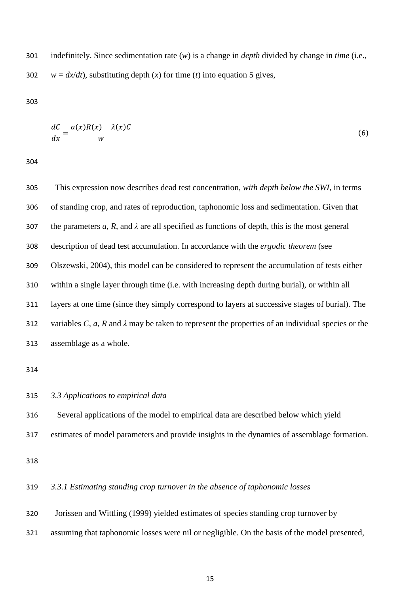indefinitely. Since sedimentation rate (*w*) is a change in *depth* divided by change in *time* (i.e., 302  $w = dx/dt$ , substituting depth (*x*) for time (*t*) into equation 5 gives,

$$
\frac{dC}{dx} = \frac{a(x)R(x) - \lambda(x)C}{w}
$$
\n(6)

 This expression now describes dead test concentration, *with depth below the SWI*, in terms of standing crop, and rates of reproduction, taphonomic loss and sedimentation. Given that 307 the parameters  $a$ ,  $R$ , and  $\lambda$  are all specified as functions of depth, this is the most general description of dead test accumulation. In accordance with the *ergodic theorem* (see Olszewski, 2004), this model can be considered to represent the accumulation of tests either within a single layer through time (i.e. with increasing depth during burial), or within all layers at one time (since they simply correspond to layers at successive stages of burial). The variables *C*, *a*, *R* and *λ* may be taken to represent the properties of an individual species or the assemblage as a whole.

- *3.3 Applications to empirical data*
- Several applications of the model to empirical data are described below which yield
- estimates of model parameters and provide insights in the dynamics of assemblage formation.

### *3.3.1 Estimating standing crop turnover in the absence of taphonomic losses*

- Jorissen and Wittling (1999) yielded estimates of species standing crop turnover by
- assuming that taphonomic losses were nil or negligible. On the basis of the model presented,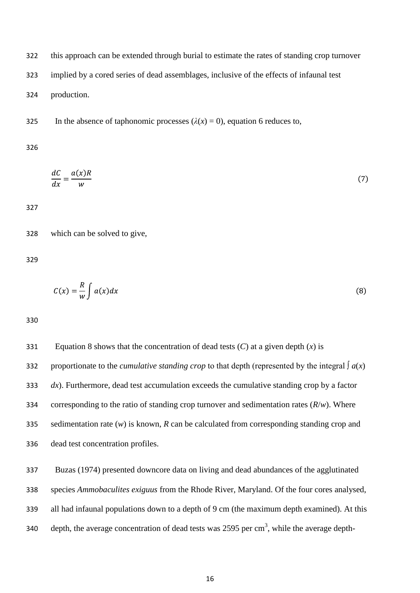this approach can be extended through burial to estimate the rates of standing crop turnover implied by a cored series of dead assemblages, inclusive of the effects of infaunal test

- production.
- 325 In the absence of taphonomic processes  $(\lambda(x) = 0)$ , equation 6 reduces to,

$$
\frac{dC}{dx} = \frac{a(x)R}{w} \tag{7}
$$

which can be solved to give,

$$
C(x) = \frac{R}{w} \int a(x) dx
$$
 (8)

 Equation 8 shows that the concentration of dead tests (*C*) at a given depth (*x*) is 332 proportionate to the *cumulative standing crop* to that depth (represented by the integral  $\int a(x)$  *dx*). Furthermore, dead test accumulation exceeds the cumulative standing crop by a factor corresponding to the ratio of standing crop turnover and sedimentation rates (*R*/*w*). Where sedimentation rate (*w*) is known, *R* can be calculated from corresponding standing crop and dead test concentration profiles.

 Buzas (1974) presented downcore data on living and dead abundances of the agglutinated species *Ammobaculites exiguus* from the Rhode River, Maryland. Of the four cores analysed, all had infaunal populations down to a depth of 9 cm (the maximum depth examined). At this 340 depth, the average concentration of dead tests was 2595 per  $cm<sup>3</sup>$ , while the average depth-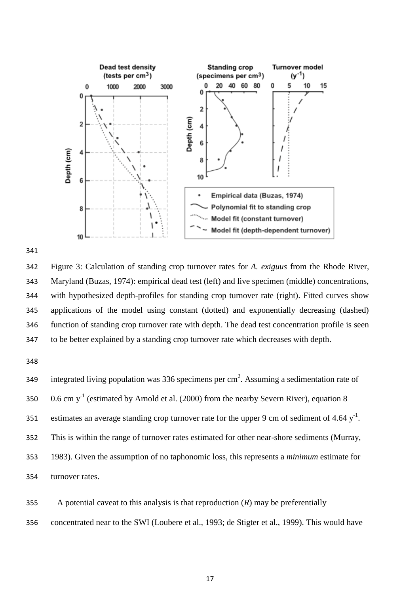



 Figure 3: Calculation of standing crop turnover rates for *A. exiguus* from the Rhode River, Maryland (Buzas, 1974): empirical dead test (left) and live specimen (middle) concentrations, with hypothesized depth-profiles for standing crop turnover rate (right). Fitted curves show applications of the model using constant (dotted) and exponentially decreasing (dashed) function of standing crop turnover rate with depth. The dead test concentration profile is seen to be better explained by a standing crop turnover rate which decreases with depth.

349 integrated living population was 336 specimens per cm<sup>2</sup>. Assuming a sedimentation rate of  $\,$  0.6 cm y<sup>-1</sup> (estimated by Arnold et al. (2000) from the nearby Severn River), equation 8 351 estimates an average standing crop turnover rate for the upper 9 cm of sediment of 4.64  $y^{-1}$ . This is within the range of turnover rates estimated for other near-shore sediments (Murray, 1983). Given the assumption of no taphonomic loss, this represents a *minimum* estimate for turnover rates.

- A potential caveat to this analysis is that reproduction (*R*) may be preferentially
- concentrated near to the SWI (Loubere et al., 1993; de Stigter et al., 1999). This would have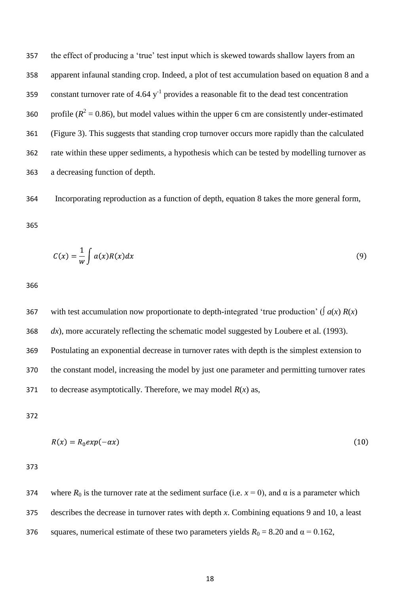357 the effect of producing a 'true' test input which is skewed towards shallow layers from an apparent infaunal standing crop. Indeed, a plot of test accumulation based on equation 8 and a 359 constant turnover rate of 4.64  $y^{-1}$  provides a reasonable fit to the dead test concentration 360 profile ( $R^2 = 0.86$ ), but model values within the upper 6 cm are consistently under-estimated (Figure 3). This suggests that standing crop turnover occurs more rapidly than the calculated rate within these upper sediments, a hypothesis which can be tested by modelling turnover as a decreasing function of depth.

Incorporating reproduction as a function of depth, equation 8 takes the more general form,

$$
C(x) = \frac{1}{w} \int a(x)R(x)dx
$$
\n(9)

367 with test accumulation now proportionate to depth-integrated 'true production' ( $\int a(x) R(x)$ *dx*), more accurately reflecting the schematic model suggested by Loubere et al. (1993). Postulating an exponential decrease in turnover rates with depth is the simplest extension to the constant model, increasing the model by just one parameter and permitting turnover rates 371 to decrease asymptotically. Therefore, we may model  $R(x)$  as,

$$
R(x) = R_0 \exp(-\alpha x) \tag{10}
$$

374 where  $R_0$  is the turnover rate at the sediment surface (i.e.  $x = 0$ ), and  $\alpha$  is a parameter which describes the decrease in turnover rates with depth *x*. Combining equations 9 and 10, a least 376 squares, numerical estimate of these two parameters yields  $R_0 = 8.20$  and  $\alpha = 0.162$ ,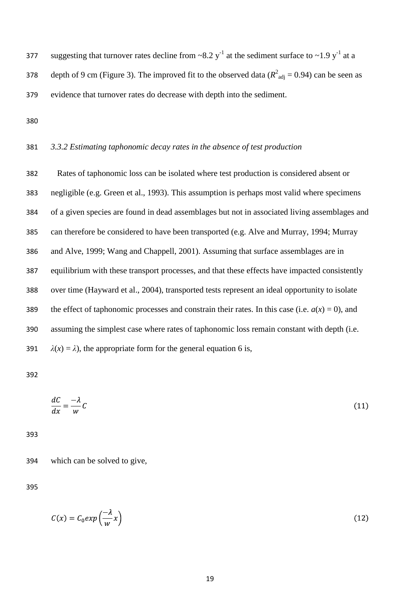377 suggesting that turnover rates decline from  $\sim 8.2$  y<sup>-1</sup> at the sediment surface to  $\sim 1.9$  y<sup>-1</sup> at a 378 depth of 9 cm (Figure 3). The improved fit to the observed data ( $R^2$ <sub>adj</sub> = 0.94) can be seen as evidence that turnover rates do decrease with depth into the sediment.

### *3.3.2 Estimating taphonomic decay rates in the absence of test production*

 Rates of taphonomic loss can be isolated where test production is considered absent or negligible (e.g. Green et al., 1993). This assumption is perhaps most valid where specimens of a given species are found in dead assemblages but not in associated living assemblages and can therefore be considered to have been transported (e.g. Alve and Murray, 1994; Murray and Alve, 1999; Wang and Chappell, 2001). Assuming that surface assemblages are in equilibrium with these transport processes, and that these effects have impacted consistently over time (Hayward et al., 2004), transported tests represent an ideal opportunity to isolate 389 the effect of taphonomic processes and constrain their rates. In this case (i.e.  $a(x) = 0$ ), and assuming the simplest case where rates of taphonomic loss remain constant with depth (i.e.  $\lambda(x) = \lambda$ , the appropriate form for the general equation 6 is,

$$
\frac{dC}{dx} = -\frac{\lambda}{w}C\tag{11}
$$

which can be solved to give,

$$
C(x) = C_0 exp\left(\frac{-\lambda}{w}x\right) \tag{12}
$$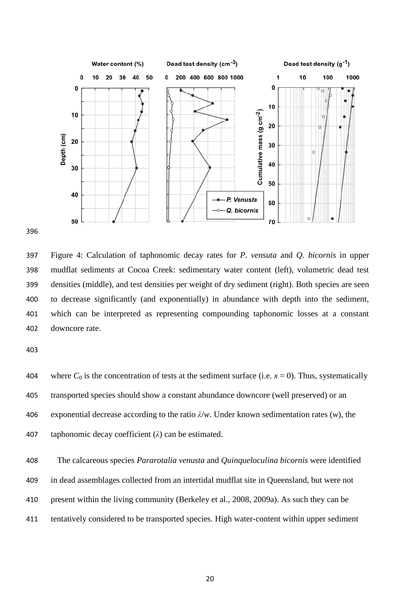

 Figure 4: Calculation of taphonomic decay rates for *P. vensuta* and *Q. bicornis* in upper mudflat sediments at Cocoa Creek: sedimentary water content (left), volumetric dead test densities (middle), and test densities per weight of dry sediment (right). Both species are seen to decrease significantly (and exponentially) in abundance with depth into the sediment, which can be interpreted as representing compounding taphonomic losses at a constant downcore rate.

404 where  $C_0$  is the concentration of tests at the sediment surface (i.e.  $x = 0$ ). Thus, systematically transported species should show a constant abundance downcore (well preserved) or an exponential decrease according to the ratio *λ*/*w*. Under known sedimentation rates (*w*), the taphonomic decay coefficient (*λ*) can be estimated.

 The calcareous species *Pararotalia venusta* and *Quinqueloculina bicornis* were identified in dead assemblages collected from an intertidal mudflat site in Queensland, but were not present within the living community (Berkeley et al., 2008, 2009a). As such they can be tentatively considered to be transported species. High water-content within upper sediment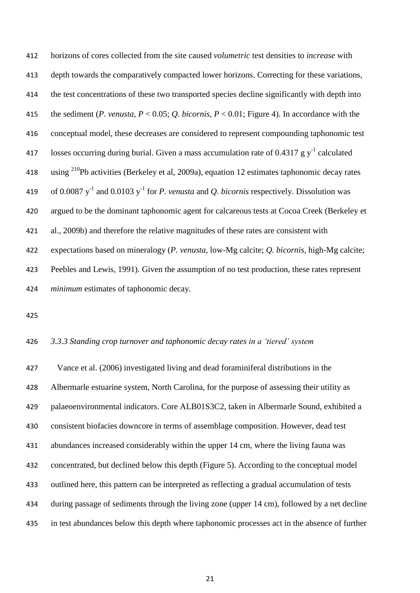horizons of cores collected from the site caused *volumetric* test densities to *increase* with depth towards the comparatively compacted lower horizons. Correcting for these variations, the test concentrations of these two transported species decline significantly with depth into the sediment (*P. venusta*, *P* < 0.05; *Q. bicornis*, *P* < 0.01; Figure 4). In accordance with the conceptual model, these decreases are considered to represent compounding taphonomic test 417 losses occurring during burial. Given a mass accumulation rate of 0.4317 g  $y^{-1}$  calculated 418 using <sup>210</sup>Pb activities (Berkeley et al, 2009a), equation 12 estimates taphonomic decay rates 419 of 0.0087 y<sup>-1</sup> and 0.0103 y<sup>-1</sup> for *P. venusta* and *Q. bicornis* respectively. Dissolution was argued to be the dominant taphonomic agent for calcareous tests at Cocoa Creek (Berkeley et al., 2009b) and therefore the relative magnitudes of these rates are consistent with expectations based on mineralogy (*P. venusta*, low-Mg calcite; *Q. bicornis*, high-Mg calcite; Peebles and Lewis, 1991). Given the assumption of no test production, these rates represent *minimum* estimates of taphonomic decay.

#### *3.3.3 Standing crop turnover and taphonomic decay rates in a 'tiered' system*

 Vance et al. (2006) investigated living and dead foraminiferal distributions in the Albermarle estuarine system, North Carolina, for the purpose of assessing their utility as palaeoenvironmental indicators. Core ALB01S3C2, taken in Albermarle Sound, exhibited a consistent biofacies downcore in terms of assemblage composition. However, dead test abundances increased considerably within the upper 14 cm, where the living fauna was concentrated, but declined below this depth (Figure 5). According to the conceptual model outlined here, this pattern can be interpreted as reflecting a gradual accumulation of tests during passage of sediments through the living zone (upper 14 cm), followed by a net decline in test abundances below this depth where taphonomic processes act in the absence of further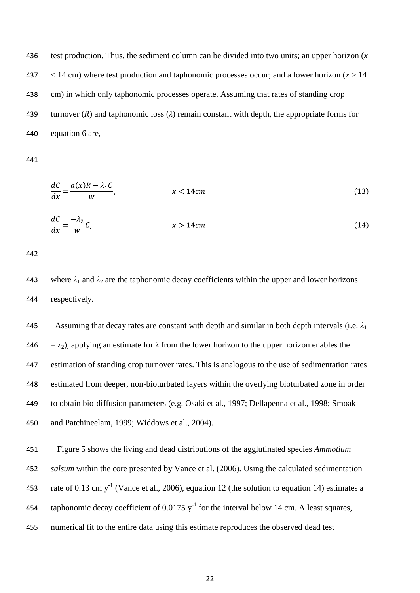test production. Thus, the sediment column can be divided into two units; an upper horizon (*x*  $\leq$  14 cm) where test production and taphonomic processes occur; and a lower horizon ( $x > 14$ ) cm) in which only taphonomic processes operate. Assuming that rates of standing crop turnover (*R*) and taphonomic loss (*λ*) remain constant with depth, the appropriate forms for equation 6 are,

$$
\frac{dC}{dx} = \frac{a(x)R - \lambda_1 C}{w}, \qquad x < 14cm \tag{13}
$$
\n
$$
\frac{dC}{dx} = \frac{-\lambda_2}{w}C, \qquad x > 14cm \tag{14}
$$

443 where  $\lambda_1$  and  $\lambda_2$  are the taphonomic decay coefficients within the upper and lower horizons respectively.

445 Assuming that decay rates are constant with depth and similar in both depth intervals (i.e.  $\lambda_1$ )  $= \lambda_2$ ), applying an estimate for  $\lambda$  from the lower horizon to the upper horizon enables the estimation of standing crop turnover rates. This is analogous to the use of sedimentation rates estimated from deeper, non-bioturbated layers within the overlying bioturbated zone in order to obtain bio-diffusion parameters (e.g. Osaki et al., 1997; Dellapenna et al., 1998; Smoak and Patchineelam, 1999; Widdows et al., 2004).

 Figure 5 shows the living and dead distributions of the agglutinated species *Ammotium salsum* within the core presented by Vance et al. (2006). Using the calculated sedimentation 453 rate of 0.13 cm  $y^{-1}$  (Vance et al., 2006), equation 12 (the solution to equation 14) estimates a 454 taphonomic decay coefficient of  $0.0175$  y<sup>-1</sup> for the interval below 14 cm. A least squares, numerical fit to the entire data using this estimate reproduces the observed dead test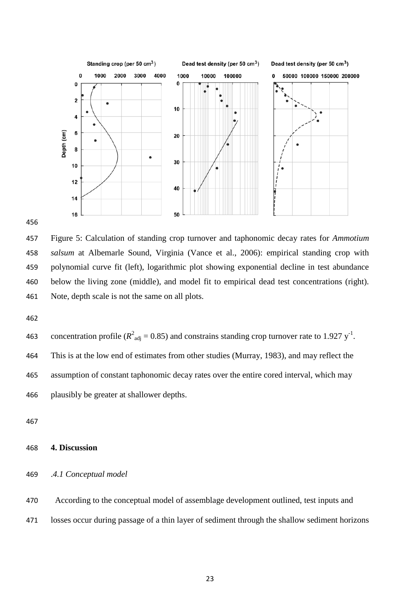

 Figure 5: Calculation of standing crop turnover and taphonomic decay rates for *Ammotium salsum* at Albemarle Sound, Virginia (Vance et al., 2006): empirical standing crop with polynomial curve fit (left), logarithmic plot showing exponential decline in test abundance below the living zone (middle), and model fit to empirical dead test concentrations (right). Note, depth scale is not the same on all plots.

463 concentration profile ( $R^2_{\text{adj}} = 0.85$ ) and constrains standing crop turnover rate to 1.927 y<sup>-1</sup>. This is at the low end of estimates from other studies (Murray, 1983), and may reflect the assumption of constant taphonomic decay rates over the entire cored interval, which may plausibly be greater at shallower depths.

### **4. Discussion**

## .*4.1 Conceptual model*

 According to the conceptual model of assemblage development outlined, test inputs and losses occur during passage of a thin layer of sediment through the shallow sediment horizons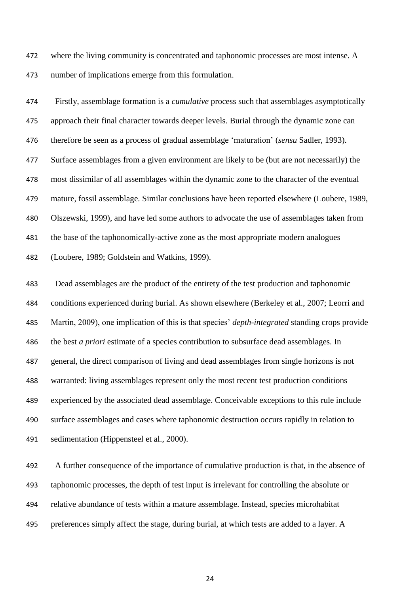where the living community is concentrated and taphonomic processes are most intense. A number of implications emerge from this formulation.

 Firstly, assemblage formation is a *cumulative* process such that assemblages asymptotically approach their final character towards deeper levels. Burial through the dynamic zone can therefore be seen as a process of gradual assemblage "maturation" (*sensu* Sadler, 1993). Surface assemblages from a given environment are likely to be (but are not necessarily) the most dissimilar of all assemblages within the dynamic zone to the character of the eventual mature, fossil assemblage. Similar conclusions have been reported elsewhere (Loubere, 1989, Olszewski, 1999), and have led some authors to advocate the use of assemblages taken from the base of the taphonomically-active zone as the most appropriate modern analogues (Loubere, 1989; Goldstein and Watkins, 1999).

 Dead assemblages are the product of the entirety of the test production and taphonomic conditions experienced during burial. As shown elsewhere (Berkeley et al., 2007; Leorri and Martin, 2009), one implication of this is that species" *depth-integrated* standing crops provide the best *a priori* estimate of a species contribution to subsurface dead assemblages. In general, the direct comparison of living and dead assemblages from single horizons is not warranted: living assemblages represent only the most recent test production conditions experienced by the associated dead assemblage. Conceivable exceptions to this rule include surface assemblages and cases where taphonomic destruction occurs rapidly in relation to sedimentation (Hippensteel et al., 2000).

 A further consequence of the importance of cumulative production is that, in the absence of taphonomic processes, the depth of test input is irrelevant for controlling the absolute or relative abundance of tests within a mature assemblage. Instead, species microhabitat preferences simply affect the stage, during burial, at which tests are added to a layer. A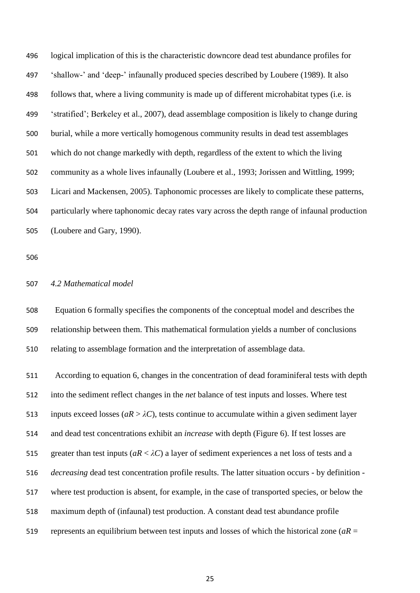logical implication of this is the characteristic downcore dead test abundance profiles for "shallow-" and "deep-" infaunally produced species described by Loubere (1989). It also follows that, where a living community is made up of different microhabitat types (i.e. is "stratified"; Berkeley et al., 2007), dead assemblage composition is likely to change during burial, while a more vertically homogenous community results in dead test assemblages which do not change markedly with depth, regardless of the extent to which the living community as a whole lives infaunally (Loubere et al., 1993; Jorissen and Wittling, 1999; Licari and Mackensen, 2005). Taphonomic processes are likely to complicate these patterns, particularly where taphonomic decay rates vary across the depth range of infaunal production (Loubere and Gary, 1990).

## *4.2 Mathematical model*

 Equation 6 formally specifies the components of the conceptual model and describes the relationship between them. This mathematical formulation yields a number of conclusions relating to assemblage formation and the interpretation of assemblage data.

 According to equation 6, changes in the concentration of dead foraminiferal tests with depth into the sediment reflect changes in the *net* balance of test inputs and losses. Where test 513 inputs exceed losses ( $aR > \lambda C$ ), tests continue to accumulate within a given sediment layer and dead test concentrations exhibit an *increase* with depth (Figure 6). If test losses are 515 greater than test inputs ( $aR < \lambda C$ ) a layer of sediment experiences a net loss of tests and a *decreasing* dead test concentration profile results. The latter situation occurs - by definition - where test production is absent, for example, in the case of transported species, or below the maximum depth of (infaunal) test production. A constant dead test abundance profile represents an equilibrium between test inputs and losses of which the historical zone (*aR* =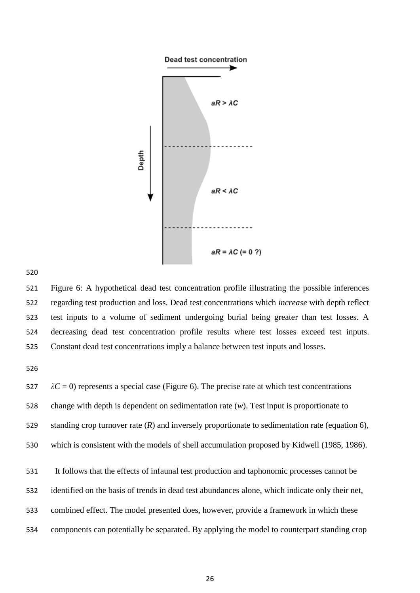

 Figure 6: A hypothetical dead test concentration profile illustrating the possible inferences regarding test production and loss. Dead test concentrations which *increase* with depth reflect test inputs to a volume of sediment undergoing burial being greater than test losses. A decreasing dead test concentration profile results where test losses exceed test inputs. Constant dead test concentrations imply a balance between test inputs and losses.

 $\lambda C = 0$ ) represents a special case (Figure 6). The precise rate at which test concentrations change with depth is dependent on sedimentation rate (*w*). Test input is proportionate to standing crop turnover rate (*R*) and inversely proportionate to sedimentation rate (equation 6), which is consistent with the models of shell accumulation proposed by Kidwell (1985, 1986). It follows that the effects of infaunal test production and taphonomic processes cannot be identified on the basis of trends in dead test abundances alone, which indicate only their net, combined effect. The model presented does, however, provide a framework in which these components can potentially be separated. By applying the model to counterpart standing crop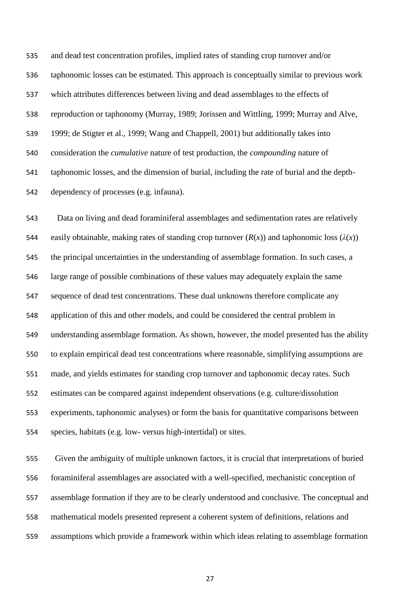and dead test concentration profiles, implied rates of standing crop turnover and/or taphonomic losses can be estimated. This approach is conceptually similar to previous work which attributes differences between living and dead assemblages to the effects of reproduction or taphonomy (Murray, 1989; Jorissen and Wittling, 1999; Murray and Alve, 1999; de Stigter et al., 1999; Wang and Chappell, 2001) but additionally takes into consideration the *cumulative* nature of test production, the *compounding* nature of taphonomic losses, and the dimension of burial, including the rate of burial and the depth-dependency of processes (e.g. infauna).

 Data on living and dead foraminiferal assemblages and sedimentation rates are relatively 544 easily obtainable, making rates of standing crop turnover  $(R(x))$  and taphonomic loss  $(\lambda(x))$  the principal uncertainties in the understanding of assemblage formation. In such cases, a large range of possible combinations of these values may adequately explain the same sequence of dead test concentrations. These dual unknowns therefore complicate any application of this and other models, and could be considered the central problem in understanding assemblage formation. As shown, however, the model presented has the ability to explain empirical dead test concentrations where reasonable, simplifying assumptions are made, and yields estimates for standing crop turnover and taphonomic decay rates. Such estimates can be compared against independent observations (e.g. culture/dissolution experiments, taphonomic analyses) or form the basis for quantitative comparisons between species, habitats (e.g. low- versus high-intertidal) or sites.

 Given the ambiguity of multiple unknown factors, it is crucial that interpretations of buried foraminiferal assemblages are associated with a well-specified, mechanistic conception of assemblage formation if they are to be clearly understood and conclusive. The conceptual and mathematical models presented represent a coherent system of definitions, relations and assumptions which provide a framework within which ideas relating to assemblage formation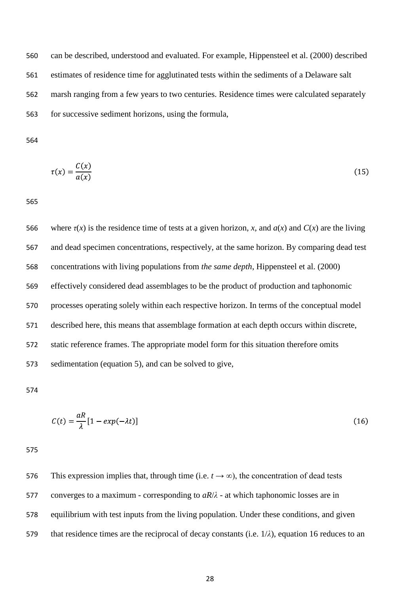can be described, understood and evaluated. For example, Hippensteel et al. (2000) described estimates of residence time for agglutinated tests within the sediments of a Delaware salt marsh ranging from a few years to two centuries. Residence times were calculated separately for successive sediment horizons, using the formula,

$$
\tau(x) = \frac{C(x)}{a(x)}\tag{15}
$$

566 where *τ*(*x*) is the residence time of tests at a given horizon, *x*, and *a*(*x*) and *C*(*x*) are the living and dead specimen concentrations, respectively, at the same horizon. By comparing dead test concentrations with living populations from *the same depth*, Hippensteel et al. (2000) effectively considered dead assemblages to be the product of production and taphonomic processes operating solely within each respective horizon. In terms of the conceptual model described here, this means that assemblage formation at each depth occurs within discrete, static reference frames. The appropriate model form for this situation therefore omits sedimentation (equation 5), and can be solved to give,

$$
C(t) = \frac{aR}{\lambda} [1 - exp(-\lambda t)] \tag{16}
$$

576 This expression implies that, through time (i.e.  $t \rightarrow \infty$ ), the concentration of dead tests converges to a maximum - corresponding to *aR*/*λ* - at which taphonomic losses are in equilibrium with test inputs from the living population. Under these conditions, and given that residence times are the reciprocal of decay constants (i.e. 1/*λ*), equation 16 reduces to an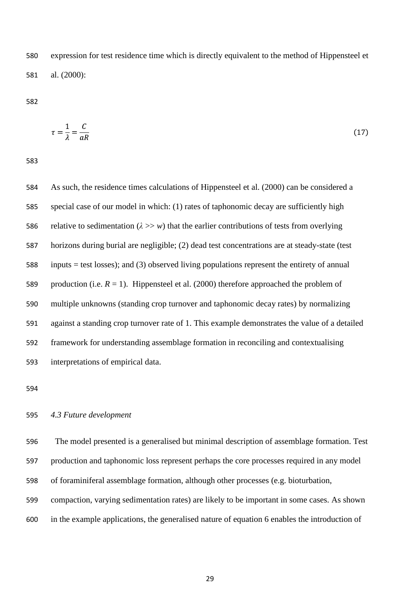expression for test residence time which is directly equivalent to the method of Hippensteel et al. (2000):

$$
\tau = \frac{1}{\lambda} = \frac{C}{aR} \tag{17}
$$

 As such, the residence times calculations of Hippensteel et al. (2000) can be considered a special case of our model in which: (1) rates of taphonomic decay are sufficiently high 586 relative to sedimentation  $(\lambda >> w)$  that the earlier contributions of tests from overlying horizons during burial are negligible; (2) dead test concentrations are at steady-state (test inputs = test losses); and (3) observed living populations represent the entirety of annual 589 production (i.e.  $R = 1$ ). Hippensteel et al. (2000) therefore approached the problem of multiple unknowns (standing crop turnover and taphonomic decay rates) by normalizing against a standing crop turnover rate of 1. This example demonstrates the value of a detailed framework for understanding assemblage formation in reconciling and contextualising interpretations of empirical data.

#### *4.3 Future development*

 The model presented is a generalised but minimal description of assemblage formation. Test production and taphonomic loss represent perhaps the core processes required in any model of foraminiferal assemblage formation, although other processes (e.g. bioturbation, compaction, varying sedimentation rates) are likely to be important in some cases. As shown in the example applications, the generalised nature of equation 6 enables the introduction of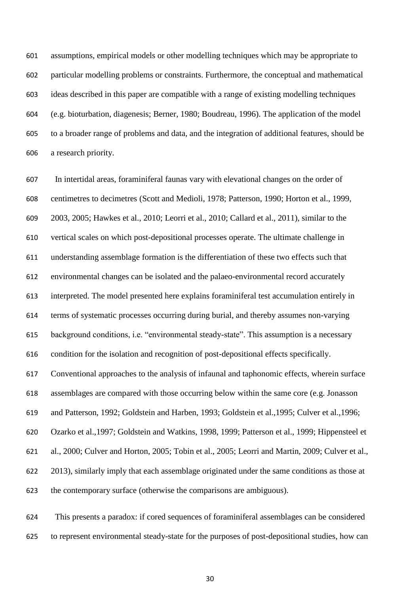assumptions, empirical models or other modelling techniques which may be appropriate to particular modelling problems or constraints. Furthermore, the conceptual and mathematical ideas described in this paper are compatible with a range of existing modelling techniques (e.g. bioturbation, diagenesis; Berner, 1980; Boudreau, 1996). The application of the model to a broader range of problems and data, and the integration of additional features, should be a research priority.

 In intertidal areas, foraminiferal faunas vary with elevational changes on the order of centimetres to decimetres (Scott and Medioli, 1978; Patterson, 1990; Horton et al., 1999, 2003, 2005; Hawkes et al., 2010; Leorri et al., 2010; Callard et al., 2011), similar to the vertical scales on which post-depositional processes operate. The ultimate challenge in understanding assemblage formation is the differentiation of these two effects such that environmental changes can be isolated and the palaeo-environmental record accurately interpreted. The model presented here explains foraminiferal test accumulation entirely in terms of systematic processes occurring during burial, and thereby assumes non-varying background conditions, i.e. "environmental steady-state". This assumption is a necessary condition for the isolation and recognition of post-depositional effects specifically. Conventional approaches to the analysis of infaunal and taphonomic effects, wherein surface assemblages are compared with those occurring below within the same core (e.g. Jonasson and Patterson, 1992; Goldstein and Harben, 1993; Goldstein et al.,1995; Culver et al.,1996; Ozarko et al.,1997; Goldstein and Watkins, 1998, 1999; Patterson et al., 1999; Hippensteel et al., 2000; Culver and Horton, 2005; Tobin et al., 2005; Leorri and Martin, 2009; Culver et al., 2013), similarly imply that each assemblage originated under the same conditions as those at the contemporary surface (otherwise the comparisons are ambiguous).

 This presents a paradox: if cored sequences of foraminiferal assemblages can be considered to represent environmental steady-state for the purposes of post-depositional studies, how can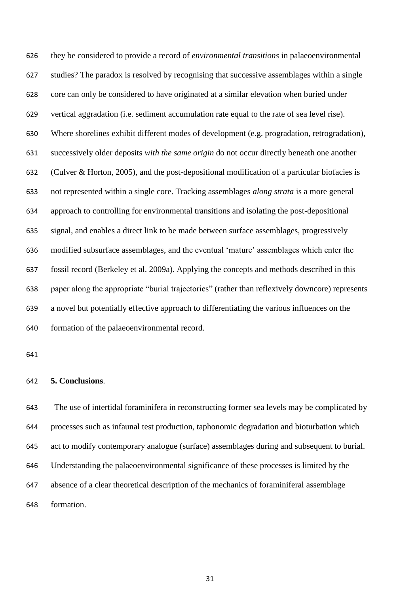they be considered to provide a record of *environmental transitions* in palaeoenvironmental studies? The paradox is resolved by recognising that successive assemblages within a single core can only be considered to have originated at a similar elevation when buried under vertical aggradation (i.e. sediment accumulation rate equal to the rate of sea level rise). Where shorelines exhibit different modes of development (e.g. progradation, retrogradation), successively older deposits *with the same origin* do not occur directly beneath one another (Culver & Horton, 2005), and the post-depositional modification of a particular biofacies is not represented within a single core. Tracking assemblages *along strata* is a more general approach to controlling for environmental transitions and isolating the post-depositional signal, and enables a direct link to be made between surface assemblages, progressively modified subsurface assemblages, and the eventual "mature" assemblages which enter the fossil record (Berkeley et al. 2009a). Applying the concepts and methods described in this paper along the appropriate "burial trajectories" (rather than reflexively downcore) represents a novel but potentially effective approach to differentiating the various influences on the formation of the palaeoenvironmental record.

#### **5. Conclusions**.

The use of intertidal foraminifera in reconstructing former sea levels may be complicated by processes such as infaunal test production, taphonomic degradation and bioturbation which act to modify contemporary analogue (surface) assemblages during and subsequent to burial. Understanding the palaeoenvironmental significance of these processes is limited by the absence of a clear theoretical description of the mechanics of foraminiferal assemblage formation.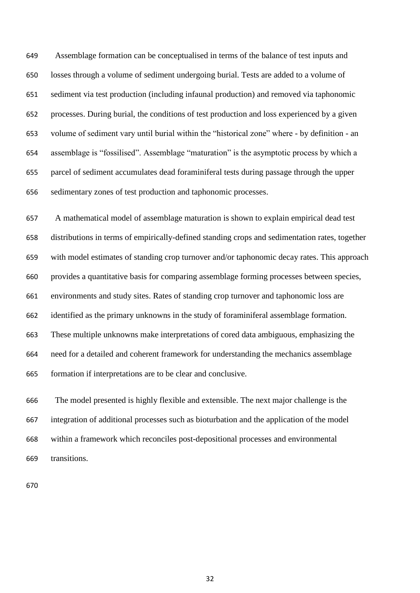Assemblage formation can be conceptualised in terms of the balance of test inputs and losses through a volume of sediment undergoing burial. Tests are added to a volume of sediment via test production (including infaunal production) and removed via taphonomic processes. During burial, the conditions of test production and loss experienced by a given volume of sediment vary until burial within the "historical zone" where - by definition - an assemblage is "fossilised". Assemblage "maturation" is the asymptotic process by which a parcel of sediment accumulates dead foraminiferal tests during passage through the upper sedimentary zones of test production and taphonomic processes.

 A mathematical model of assemblage maturation is shown to explain empirical dead test distributions in terms of empirically-defined standing crops and sedimentation rates, together with model estimates of standing crop turnover and/or taphonomic decay rates. This approach provides a quantitative basis for comparing assemblage forming processes between species, environments and study sites. Rates of standing crop turnover and taphonomic loss are identified as the primary unknowns in the study of foraminiferal assemblage formation. These multiple unknowns make interpretations of cored data ambiguous, emphasizing the need for a detailed and coherent framework for understanding the mechanics assemblage formation if interpretations are to be clear and conclusive.

 The model presented is highly flexible and extensible. The next major challenge is the integration of additional processes such as bioturbation and the application of the model within a framework which reconciles post-depositional processes and environmental transitions.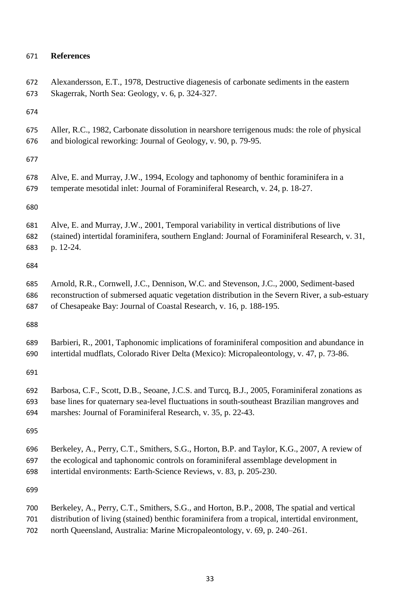# **References**

| 672 | Alexandersson, E.T., 1978, Destructive diagenesis of carbonate sediments in the eastern        |
|-----|------------------------------------------------------------------------------------------------|
| 673 | Skagerrak, North Sea: Geology, v. 6, p. 324-327.                                               |
| 674 |                                                                                                |
| 675 | Aller, R.C., 1982, Carbonate dissolution in nearshore terrigenous muds: the role of physical   |
| 676 | and biological reworking: Journal of Geology, v. 90, p. 79-95.                                 |
| 677 |                                                                                                |
| 678 | Alve, E. and Murray, J.W., 1994, Ecology and taphonomy of benthic foraminifera in a            |
| 679 | temperate mesotidal inlet: Journal of Foraminiferal Research, v. 24, p. 18-27.                 |
| 680 |                                                                                                |
| 681 | Alve, E. and Murray, J.W., 2001, Temporal variability in vertical distributions of live        |
| 682 | (stained) intertidal foraminifera, southern England: Journal of Foraminiferal Research, v. 31, |
| 683 | p. 12-24.                                                                                      |
| 684 |                                                                                                |
| 685 | Arnold, R.R., Cornwell, J.C., Dennison, W.C. and Stevenson, J.C., 2000, Sediment-based         |
| 686 | reconstruction of submersed aquatic vegetation distribution in the Severn River, a sub-estuary |
| 687 | of Chesapeake Bay: Journal of Coastal Research, v. 16, p. 188-195.                             |
| 688 |                                                                                                |
| 689 | Barbieri, R., 2001, Taphonomic implications of foraminiferal composition and abundance in      |
| 690 | intertidal mudflats, Colorado River Delta (Mexico): Micropaleontology, v. 47, p. 73-86.        |
| 691 |                                                                                                |
| 692 | Barbosa, C.F., Scott, D.B., Seoane, J.C.S. and Turcq, B.J., 2005, Foraminiferal zonations as   |
| 693 | base lines for quaternary sea-level fluctuations in south-southeast Brazilian mangroves and    |
| 694 | marshes: Journal of Foraminiferal Research, v. 35, p. 22-43.                                   |
| 695 |                                                                                                |
| 696 | Berkeley, A., Perry, C.T., Smithers, S.G., Horton, B.P. and Taylor, K.G., 2007, A review of    |
| 697 | the ecological and taphonomic controls on foraminiferal assemblage development in              |
| 698 | intertidal environments: Earth-Science Reviews, v. 83, p. 205-230.                             |
| 699 |                                                                                                |
| 700 | Berkeley, A., Perry, C.T., Smithers, S.G., and Horton, B.P., 2008, The spatial and vertical    |
| 701 | distribution of living (stained) benthic foraminifera from a tropical, intertidal environment, |

north Queensland, Australia: Marine Micropaleontology, v. 69, p. 240–261.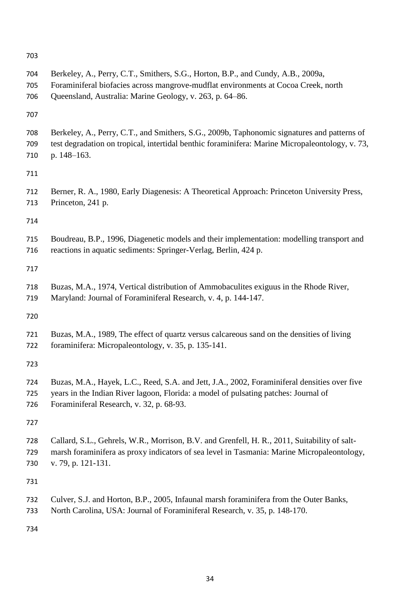| 704 | Berkeley, A., Perry, C.T., Smithers, S.G., Horton, B.P., and Cundy, A.B., 2009a,                |
|-----|-------------------------------------------------------------------------------------------------|
| 705 | Foraminiferal biofacies across mangrove-mudflat environments at Cocoa Creek, north              |
| 706 | Queensland, Australia: Marine Geology, v. 263, p. 64-86.                                        |
| 707 |                                                                                                 |
| 708 | Berkeley, A., Perry, C.T., and Smithers, S.G., 2009b, Taphonomic signatures and patterns of     |
| 709 | test degradation on tropical, intertidal benthic foraminifera: Marine Micropaleontology, v. 73, |
| 710 | p. 148-163.                                                                                     |
| 711 |                                                                                                 |
| 712 | Berner, R. A., 1980, Early Diagenesis: A Theoretical Approach: Princeton University Press,      |
| 713 | Princeton, 241 p.                                                                               |
| 714 |                                                                                                 |
| 715 | Boudreau, B.P., 1996, Diagenetic models and their implementation: modelling transport and       |
| 716 | reactions in aquatic sediments: Springer-Verlag, Berlin, 424 p.                                 |
| 717 |                                                                                                 |
| 718 | Buzas, M.A., 1974, Vertical distribution of Ammobaculites exiguus in the Rhode River,           |
| 719 | Maryland: Journal of Foraminiferal Research, v. 4, p. 144-147.                                  |
| 720 |                                                                                                 |
| 721 | Buzas, M.A., 1989, The effect of quartz versus calcareous sand on the densities of living       |
| 722 | foraminifera: Micropaleontology, v. 35, p. 135-141.                                             |
| 723 |                                                                                                 |
| 724 | Buzas, M.A., Hayek, L.C., Reed, S.A. and Jett, J.A., 2002, Foraminiferal densities over five    |
| 725 | years in the Indian River lagoon, Florida: a model of pulsating patches: Journal of             |
| 726 | Foraminiferal Research, v. 32, p. 68-93.                                                        |
| 727 |                                                                                                 |
| 728 | Callard, S.L., Gehrels, W.R., Morrison, B.V. and Grenfell, H. R., 2011, Suitability of salt-    |
| 729 | marsh foraminifera as proxy indicators of sea level in Tasmania: Marine Micropaleontology,      |
| 730 | v. 79, p. 121-131.                                                                              |
| 731 |                                                                                                 |
| 732 | Culver, S.J. and Horton, B.P., 2005, Infaunal marsh foraminifera from the Outer Banks,          |
| 733 | North Carolina, USA: Journal of Foraminiferal Research, v. 35, p. 148-170.                      |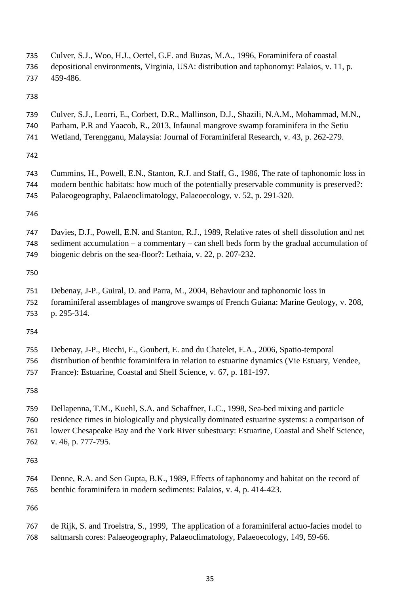| 735 | Culver, S.J., Woo, H.J., Oertel, G.F. and Buzas, M.A., 1996, Foraminifera of coastal            |
|-----|-------------------------------------------------------------------------------------------------|
| 736 | depositional environments, Virginia, USA: distribution and taphonomy: Palaios, v. 11, p.        |
| 737 | 459-486.                                                                                        |
| 738 |                                                                                                 |
| 739 | Culver, S.J., Leorri, E., Corbett, D.R., Mallinson, D.J., Shazili, N.A.M., Mohammad, M.N.,      |
| 740 | Parham, P.R and Yaacob, R., 2013, Infaunal mangrove swamp foraminifera in the Setiu             |
| 741 | Wetland, Terengganu, Malaysia: Journal of Foraminiferal Research, v. 43, p. 262-279.            |
| 742 |                                                                                                 |
| 743 | Cummins, H., Powell, E.N., Stanton, R.J. and Staff, G., 1986, The rate of taphonomic loss in    |
| 744 | modern benthic habitats: how much of the potentially preservable community is preserved?:       |
| 745 | Palaeogeography, Palaeoclimatology, Palaeoecology, v. 52, p. 291-320.                           |
| 746 |                                                                                                 |
| 747 | Davies, D.J., Powell, E.N. and Stanton, R.J., 1989, Relative rates of shell dissolution and net |
| 748 | sediment accumulation $-$ a commentary $-$ can shell beds form by the gradual accumulation of   |
| 749 | biogenic debris on the sea-floor?: Lethaia, v. 22, p. 207-232.                                  |
| 750 |                                                                                                 |
| 751 | Debenay, J-P., Guiral, D. and Parra, M., 2004, Behaviour and taphonomic loss in                 |
| 752 | foraminiferal assemblages of mangrove swamps of French Guiana: Marine Geology, v. 208,          |
| 753 | p. 295-314.                                                                                     |
| 754 |                                                                                                 |
| 755 | Debenay, J-P., Bicchi, E., Goubert, E. and du Chatelet, E.A., 2006, Spatio-temporal             |
| 756 | distribution of benthic foraminifera in relation to estuarine dynamics (Vie Estuary, Vendee,    |
| 757 | France): Estuarine, Coastal and Shelf Science, v. 67, p. 181-197.                               |
| 758 |                                                                                                 |
| 759 | Dellapenna, T.M., Kuehl, S.A. and Schaffner, L.C., 1998, Sea-bed mixing and particle            |
| 760 | residence times in biologically and physically dominated estuarine systems: a comparison of     |
| 761 | lower Chesapeake Bay and the York River subestuary: Estuarine, Coastal and Shelf Science,       |
| 762 | v. 46, p. 777-795.                                                                              |
| 763 |                                                                                                 |
| 764 | Denne, R.A. and Sen Gupta, B.K., 1989, Effects of taphonomy and habitat on the record of        |
| 765 | benthic foraminifera in modern sediments: Palaios, v. 4, p. 414-423.                            |
| 766 |                                                                                                 |
| 767 | de Rijk, S. and Troelstra, S., 1999, The application of a foraminiferal actuo-facies model to   |
| 768 | saltmarsh cores: Palaeogeography, Palaeoclimatology, Palaeoecology, 149, 59-66.                 |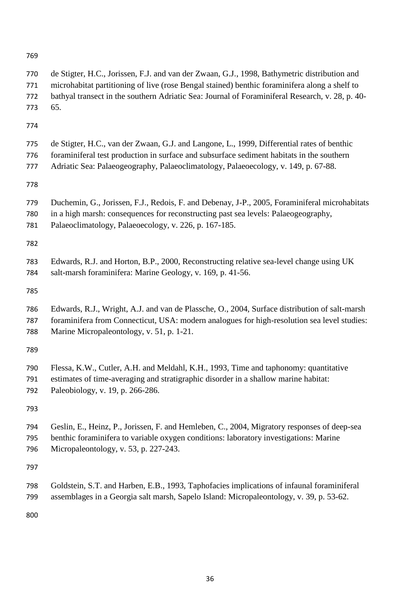| 769                      |                                                                                                                                                                                                                                                                                                         |
|--------------------------|---------------------------------------------------------------------------------------------------------------------------------------------------------------------------------------------------------------------------------------------------------------------------------------------------------|
| 770<br>771<br>772<br>773 | de Stigter, H.C., Jorissen, F.J. and van der Zwaan, G.J., 1998, Bathymetric distribution and<br>microhabitat partitioning of live (rose Bengal stained) benthic foraminifera along a shelf to<br>bathyal transect in the southern Adriatic Sea: Journal of Foraminiferal Research, v. 28, p. 40-<br>65. |
| 774                      |                                                                                                                                                                                                                                                                                                         |
| 775<br>776<br>777        | de Stigter, H.C., van der Zwaan, G.J. and Langone, L., 1999, Differential rates of benthic<br>foraminiferal test production in surface and subsurface sediment habitats in the southern<br>Adriatic Sea: Palaeogeography, Palaeoclimatology, Palaeoecology, v. 149, p. 67-88.                           |
| 778                      |                                                                                                                                                                                                                                                                                                         |
| 779<br>780<br>781        | Duchemin, G., Jorissen, F.J., Redois, F. and Debenay, J-P., 2005, Foraminiferal microhabitats<br>in a high marsh: consequences for reconstructing past sea levels: Palaeogeography,<br>Palaeoclimatology, Palaeoecology, v. 226, p. 167-185.                                                            |
| 782                      |                                                                                                                                                                                                                                                                                                         |
| 783<br>784               | Edwards, R.J. and Horton, B.P., 2000, Reconstructing relative sea-level change using UK<br>salt-marsh foraminifera: Marine Geology, v. 169, p. 41-56.                                                                                                                                                   |
| 785                      |                                                                                                                                                                                                                                                                                                         |
| 786<br>787<br>788        | Edwards, R.J., Wright, A.J. and van de Plassche, O., 2004, Surface distribution of salt-marsh<br>foraminifera from Connecticut, USA: modern analogues for high-resolution sea level studies:<br>Marine Micropaleontology, v. 51, p. 1-21.                                                               |
| 789                      |                                                                                                                                                                                                                                                                                                         |
| 790<br>791<br>792        | Flessa, K.W., Cutler, A.H. and Meldahl, K.H., 1993, Time and taphonomy: quantitative<br>estimates of time-averaging and stratigraphic disorder in a shallow marine habitat:<br>Paleobiology, v. 19, p. 266-286.                                                                                         |
| 793                      |                                                                                                                                                                                                                                                                                                         |
| 794<br>795<br>796        | Geslin, E., Heinz, P., Jorissen, F. and Hemleben, C., 2004, Migratory responses of deep-sea<br>benthic foraminifera to variable oxygen conditions: laboratory investigations: Marine<br>Micropaleontology, v. 53, p. 227-243.                                                                           |
| 797                      |                                                                                                                                                                                                                                                                                                         |
| 798                      | Goldstein, S.T. and Harben, E.B., 1993, Taphofacies implications of infaunal foraminiferal                                                                                                                                                                                                              |

800

799 assemblages in a Georgia salt marsh, Sapelo Island: Micropaleontology, v. 39, p. 53-62.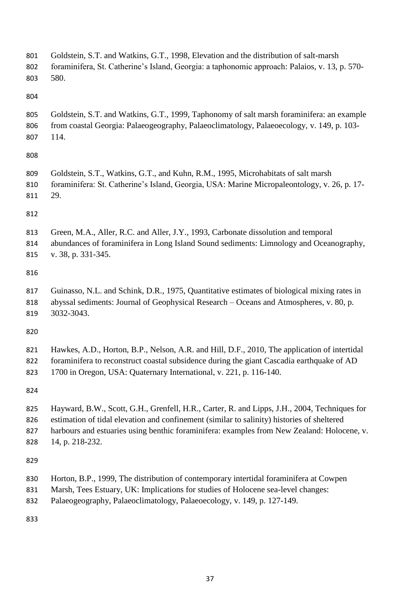| 801 | Goldstein, S.T. and Watkins, G.T., 1998, Elevation and the distribution of salt-marsh         |
|-----|-----------------------------------------------------------------------------------------------|
| 802 | foraminifera, St. Catherine's Island, Georgia: a taphonomic approach: Palaios, v. 13, p. 570- |
| 803 | 580.                                                                                          |
| 804 |                                                                                               |
| 805 | Goldstein, S.T. and Watkins, G.T., 1999, Taphonomy of salt marsh foraminifera: an example     |
| 806 | from coastal Georgia: Palaeogeography, Palaeoclimatology, Palaeoecology, v. 149, p. 103-      |
| 807 | 114.                                                                                          |
| 808 |                                                                                               |
| 809 | Goldstein, S.T., Watkins, G.T., and Kuhn, R.M., 1995, Microhabitats of salt marsh             |
| 810 | foraminifera: St. Catherine's Island, Georgia, USA: Marine Micropaleontology, v. 26, p. 17-   |
| 811 | 29.                                                                                           |
| 812 |                                                                                               |
| 813 | Green, M.A., Aller, R.C. and Aller, J.Y., 1993, Carbonate dissolution and temporal            |
| 814 | abundances of foraminifera in Long Island Sound sediments: Limnology and Oceanography,        |
| 815 | v. 38, p. 331-345.                                                                            |
| 816 |                                                                                               |
| 817 | Guinasso, N.L. and Schink, D.R., 1975, Quantitative estimates of biological mixing rates in   |
| 818 | abyssal sediments: Journal of Geophysical Research - Oceans and Atmospheres, v. 80, p.        |
| 819 | 3032-3043.                                                                                    |
| 820 |                                                                                               |
| 821 | Hawkes, A.D., Horton, B.P., Nelson, A.R. and Hill, D.F., 2010, The application of intertidal  |
| 822 | foraminifera to reconstruct coastal subsidence during the giant Cascadia earthquake of AD     |
| 823 | 1700 in Oregon, USA: Quaternary International, v. 221, p. 116-140.                            |
| 824 |                                                                                               |
| 825 | Hayward, B.W., Scott, G.H., Grenfell, H.R., Carter, R. and Lipps, J.H., 2004, Techniques for  |
| 826 | estimation of tidal elevation and confinement (similar to salinity) histories of sheltered    |
| 827 | harbours and estuaries using benthic foraminifera: examples from New Zealand: Holocene, v.    |
| 828 | 14, p. 218-232.                                                                               |
| 829 |                                                                                               |
| 830 | Horton, B.P., 1999, The distribution of contemporary intertidal foraminifera at Cowpen        |
| 831 | Marsh, Tees Estuary, UK: Implications for studies of Holocene sea-level changes:              |
| 832 | Palaeogeography, Palaeoclimatology, Palaeoecology, v. 149, p. 127-149.                        |
|     |                                                                                               |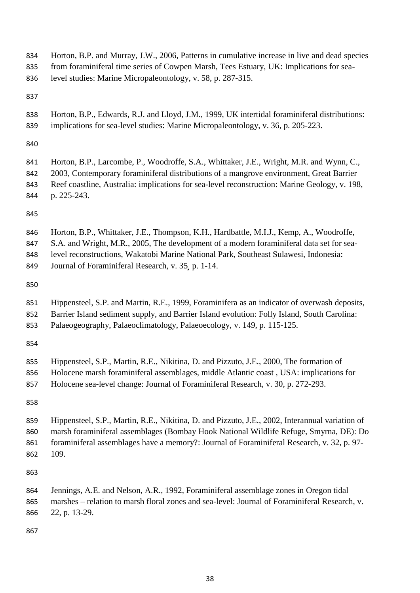| 834 | Horton, B.P. and Murray, J.W., 2006, Patterns in cumulative increase in live and dead species   |
|-----|-------------------------------------------------------------------------------------------------|
| 835 | from foraminiferal time series of Cowpen Marsh, Tees Estuary, UK: Implications for sea-         |
| 836 | level studies: Marine Micropaleontology, v. 58, p. 287-315.                                     |
| 837 |                                                                                                 |
| 838 | Horton, B.P., Edwards, R.J. and Lloyd, J.M., 1999, UK intertidal foraminiferal distributions:   |
| 839 | implications for sea-level studies: Marine Micropaleontology, v. 36, p. 205-223.                |
| 840 |                                                                                                 |
| 841 | Horton, B.P., Larcombe, P., Woodroffe, S.A., Whittaker, J.E., Wright, M.R. and Wynn, C.,        |
| 842 | 2003, Contemporary foraminiferal distributions of a mangrove environment, Great Barrier         |
| 843 | Reef coastline, Australia: implications for sea-level reconstruction: Marine Geology, v. 198,   |
| 844 | p. 225-243.                                                                                     |
| 845 |                                                                                                 |
| 846 | Horton, B.P., Whittaker, J.E., Thompson, K.H., Hardbattle, M.I.J., Kemp, A., Woodroffe,         |
| 847 | S.A. and Wright, M.R., 2005, The development of a modern foraminiferal data set for sea-        |
| 848 | level reconstructions, Wakatobi Marine National Park, Southeast Sulawesi, Indonesia:            |
| 849 | Journal of Foraminiferal Research, v. 35, p. 1-14.                                              |
| 850 |                                                                                                 |
| 851 | Hippensteel, S.P. and Martin, R.E., 1999, Foraminifera as an indicator of overwash deposits,    |
| 852 | Barrier Island sediment supply, and Barrier Island evolution: Folly Island, South Carolina:     |
| 853 | Palaeogeography, Palaeoclimatology, Palaeoecology, v. 149, p. 115-125.                          |
| 854 |                                                                                                 |
| 855 | Hippensteel, S.P., Martin, R.E., Nikitina, D. and Pizzuto, J.E., 2000, The formation of         |
| 856 | Holocene marsh foraminiferal assemblages, middle Atlantic coast, USA: implications for          |
| 857 | Holocene sea-level change: Journal of Foraminiferal Research, v. 30, p. 272-293.                |
| 858 |                                                                                                 |
| 859 | Hippensteel, S.P., Martin, R.E., Nikitina, D. and Pizzuto, J.E., 2002, Interannual variation of |
| 860 | marsh foraminiferal assemblages (Bombay Hook National Wildlife Refuge, Smyrna, DE): Do          |
| 861 | foraminiferal assemblages have a memory?: Journal of Foraminiferal Research, v. 32, p. 97-      |
| 862 | 109.                                                                                            |
| 863 |                                                                                                 |
| 864 | Jennings, A.E. and Nelson, A.R., 1992, Foraminiferal assemblage zones in Oregon tidal           |
| 865 | marshes – relation to marsh floral zones and sea-level: Journal of Foraminiferal Research, v.   |
| 866 | 22, p. 13-29.                                                                                   |
| 867 |                                                                                                 |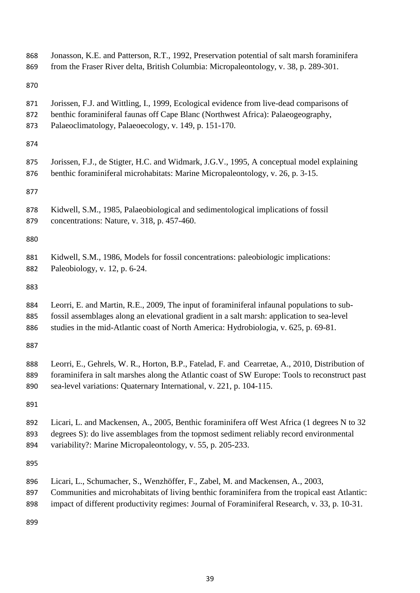| 868 | Jonasson, K.E. and Patterson, R.T., 1992, Preservation potential of salt marsh foraminifera    |
|-----|------------------------------------------------------------------------------------------------|
| 869 | from the Fraser River delta, British Columbia: Micropaleontology, v. 38, p. 289-301.           |
| 870 |                                                                                                |
| 871 | Jorissen, F.J. and Wittling, I., 1999, Ecological evidence from live-dead comparisons of       |
| 872 | benthic foraminiferal faunas off Cape Blanc (Northwest Africa): Palaeogeography,               |
| 873 | Palaeoclimatology, Palaeoecology, v. 149, p. 151-170.                                          |
| 874 |                                                                                                |
| 875 | Jorissen, F.J., de Stigter, H.C. and Widmark, J.G.V., 1995, A conceptual model explaining      |
| 876 | benthic foraminiferal microhabitats: Marine Micropaleontology, v. 26, p. 3-15.                 |
| 877 |                                                                                                |
| 878 | Kidwell, S.M., 1985, Palaeobiological and sedimentological implications of fossil              |
| 879 | concentrations: Nature, v. 318, p. 457-460.                                                    |
| 880 |                                                                                                |
| 881 | Kidwell, S.M., 1986, Models for fossil concentrations: paleobiologic implications:             |
| 882 | Paleobiology, v. $12$ , p. $6-24$ .                                                            |
| 883 |                                                                                                |
| 884 | Leorri, E. and Martin, R.E., 2009, The input of foraminiferal infaunal populations to sub-     |
| 885 | fossil assemblages along an elevational gradient in a salt marsh: application to sea-level     |
| 886 | studies in the mid-Atlantic coast of North America: Hydrobiologia, v. 625, p. 69-81.           |
| 887 |                                                                                                |
| 888 | Leorri, E., Gehrels, W. R., Horton, B.P., Fatelad, F. and Cearretae, A., 2010, Distribution of |
| 889 | foraminifera in salt marshes along the Atlantic coast of SW Europe: Tools to reconstruct past  |
| 890 | sea-level variations: Quaternary International, v. 221, p. 104-115.                            |
| 891 |                                                                                                |
| 892 | Licari, L. and Mackensen, A., 2005, Benthic foraminifera off West Africa (1 degrees N to 32    |
| 893 | degrees S): do live assemblages from the topmost sediment reliably record environmental        |
| 894 | variability?: Marine Micropaleontology, v. 55, p. 205-233.                                     |
| 895 |                                                                                                |
| 896 | Licari, L., Schumacher, S., Wenzhöffer, F., Zabel, M. and Mackensen, A., 2003,                 |
| 897 | Communities and microhabitats of living benthic foraminifera from the tropical east Atlantic:  |
| 898 | impact of different productivity regimes: Journal of Foraminiferal Research, v. 33, p. 10-31.  |
|     |                                                                                                |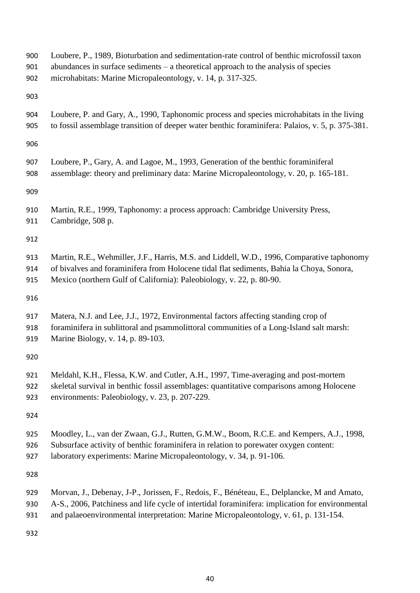| 900 | Loubere, P., 1989, Bioturbation and sedimentation-rate control of benthic microfossil taxon      |
|-----|--------------------------------------------------------------------------------------------------|
| 901 | abundances in surface sediments $-$ a theoretical approach to the analysis of species            |
| 902 | microhabitats: Marine Micropaleontology, v. 14, p. 317-325.                                      |
| 903 |                                                                                                  |
| 904 | Loubere, P. and Gary, A., 1990, Taphonomic process and species microhabitats in the living       |
| 905 | to fossil assemblage transition of deeper water benthic foraminifera: Palaios, v. 5, p. 375-381. |
| 906 |                                                                                                  |
| 907 | Loubere, P., Gary, A. and Lagoe, M., 1993, Generation of the benthic foraminiferal               |
| 908 | assemblage: theory and preliminary data: Marine Micropaleontology, v. 20, p. 165-181.            |
| 909 |                                                                                                  |
| 910 | Martin, R.E., 1999, Taphonomy: a process approach: Cambridge University Press,                   |
| 911 | Cambridge, 508 p.                                                                                |
| 912 |                                                                                                  |
| 913 | Martin, R.E., Wehmiller, J.F., Harris, M.S. and Liddell, W.D., 1996, Comparative taphonomy       |
| 914 | of bivalves and foraminifera from Holocene tidal flat sediments, Bahia la Choya, Sonora,         |
| 915 | Mexico (northern Gulf of California): Paleobiology, v. 22, p. 80-90.                             |
| 916 |                                                                                                  |
| 917 | Matera, N.J. and Lee, J.J., 1972, Environmental factors affecting standing crop of               |
| 918 | foraminifera in sublittoral and psammolittoral communities of a Long-Island salt marsh:          |
| 919 | Marine Biology, v. 14, p. 89-103.                                                                |
| 920 |                                                                                                  |
| 921 | Meldahl, K.H., Flessa, K.W. and Cutler, A.H., 1997, Time-averaging and post-mortem               |
| 922 | skeletal survival in benthic fossil assemblages: quantitative comparisons among Holocene         |
| 923 | environments: Paleobiology, v. 23, p. 207-229.                                                   |
| 924 |                                                                                                  |
| 925 | Moodley, L., van der Zwaan, G.J., Rutten, G.M.W., Boom, R.C.E. and Kempers, A.J., 1998,          |
| 926 | Subsurface activity of benthic foraminifera in relation to porewater oxygen content:             |
| 927 | laboratory experiments: Marine Micropaleontology, v. 34, p. 91-106.                              |
| 928 |                                                                                                  |
| 929 | Morvan, J., Debenay, J-P., Jorissen, F., Redois, F., Bénéteau, E., Delplancke, M and Amato,      |
| 930 | A-S., 2006, Patchiness and life cycle of intertidal foraminifera: implication for environmental  |
| 931 | and palaeoenvironmental interpretation: Marine Micropaleontology, v. 61, p. 131-154.             |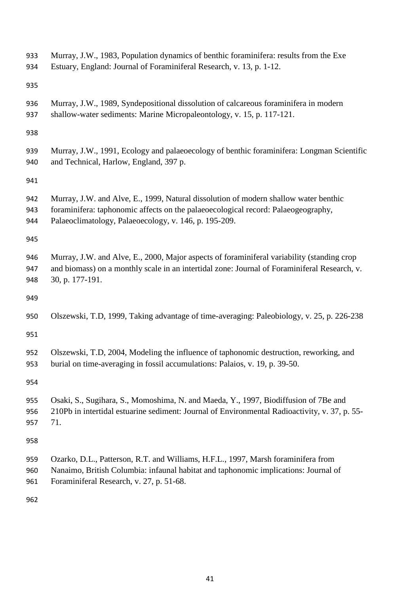| 933<br>934        | Murray, J.W., 1983, Population dynamics of benthic foraminifera: results from the Exe<br>Estuary, England: Journal of Foraminiferal Research, v. 13, p. 1-12.                                                                      |
|-------------------|------------------------------------------------------------------------------------------------------------------------------------------------------------------------------------------------------------------------------------|
| 935               |                                                                                                                                                                                                                                    |
| 936<br>937        | Murray, J.W., 1989, Syndepositional dissolution of calcareous foraminifera in modern<br>shallow-water sediments: Marine Micropaleontology, v. 15, p. 117-121.                                                                      |
| 938               |                                                                                                                                                                                                                                    |
| 939<br>940        | Murray, J.W., 1991, Ecology and palaeoecology of benthic foraminifera: Longman Scientific<br>and Technical, Harlow, England, 397 p.                                                                                                |
| 941               |                                                                                                                                                                                                                                    |
| 942<br>943<br>944 | Murray, J.W. and Alve, E., 1999, Natural dissolution of modern shallow water benthic<br>foraminifera: taphonomic affects on the palaeoecological record: Palaeogeography,<br>Palaeoclimatology, Palaeoecology, v. 146, p. 195-209. |
| 945               |                                                                                                                                                                                                                                    |
| 946<br>947<br>948 | Murray, J.W. and Alve, E., 2000, Major aspects of foraminiferal variability (standing crop<br>and biomass) on a monthly scale in an intertidal zone: Journal of Foraminiferal Research, v.<br>30, p. 177-191.                      |
| 949               |                                                                                                                                                                                                                                    |
| 950               | Olszewski, T.D, 1999, Taking advantage of time-averaging: Paleobiology, v. 25, p. 226-238                                                                                                                                          |
| 951               |                                                                                                                                                                                                                                    |
| 952<br>953        | Olszewski, T.D, 2004, Modeling the influence of taphonomic destruction, reworking, and<br>burial on time-averaging in fossil accumulations: Palaios, v. 19, p. 39-50.                                                              |
| 954               |                                                                                                                                                                                                                                    |
| 955<br>956<br>957 | Osaki, S., Sugihara, S., Momoshima, N. and Maeda, Y., 1997, Biodiffusion of 7Be and<br>210Pb in intertidal estuarine sediment: Journal of Environmental Radioactivity, v. 37, p. 55-<br>71.                                        |
| 958               |                                                                                                                                                                                                                                    |
| 959<br>960<br>961 | Ozarko, D.L., Patterson, R.T. and Williams, H.F.L., 1997, Marsh foraminifera from<br>Nanaimo, British Columbia: infaunal habitat and taphonomic implications: Journal of<br>Foraminiferal Research, v. 27, p. 51-68.               |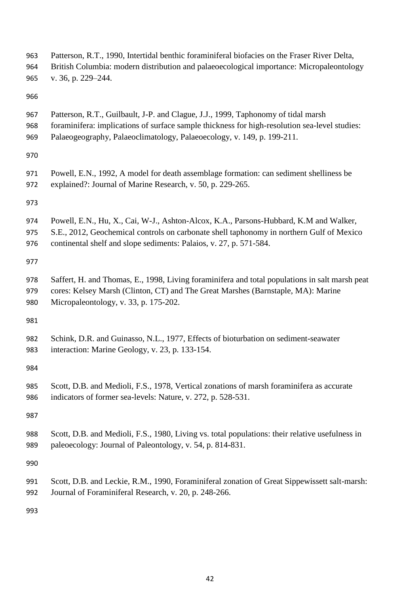| 963 | Patterson, R.T., 1990, Intertidal benthic foraminiferal biofacies on the Fraser River Delta,    |
|-----|-------------------------------------------------------------------------------------------------|
| 964 | British Columbia: modern distribution and palaeoecological importance: Micropaleontology        |
| 965 | v. 36, p. 229-244.                                                                              |
| 966 |                                                                                                 |
| 967 | Patterson, R.T., Guilbault, J-P. and Clague, J.J., 1999, Taphonomy of tidal marsh               |
| 968 | foraminifera: implications of surface sample thickness for high-resolution sea-level studies:   |
| 969 | Palaeogeography, Palaeoclimatology, Palaeoecology, v. 149, p. 199-211.                          |
| 970 |                                                                                                 |
| 971 | Powell, E.N., 1992, A model for death assemblage formation: can sediment shelliness be          |
| 972 | explained?: Journal of Marine Research, v. 50, p. 229-265.                                      |
| 973 |                                                                                                 |
| 974 | Powell, E.N., Hu, X., Cai, W-J., Ashton-Alcox, K.A., Parsons-Hubbard, K.M and Walker,           |
| 975 | S.E., 2012, Geochemical controls on carbonate shell taphonomy in northern Gulf of Mexico        |
| 976 | continental shelf and slope sediments: Palaios, v. 27, p. 571-584.                              |
| 977 |                                                                                                 |
| 978 | Saffert, H. and Thomas, E., 1998, Living foraminifera and total populations in salt marsh peat  |
| 979 | cores: Kelsey Marsh (Clinton, CT) and The Great Marshes (Barnstaple, MA): Marine                |
| 980 | Micropaleontology, v. 33, p. 175-202.                                                           |
| 981 |                                                                                                 |
| 982 | Schink, D.R. and Guinasso, N.L., 1977, Effects of bioturbation on sediment-seawater             |
| 983 | interaction: Marine Geology, v. 23, p. 133-154.                                                 |
| 984 |                                                                                                 |
| 985 | Scott, D.B. and Medioli, F.S., 1978, Vertical zonations of marsh foraminifera as accurate       |
| 986 | indicators of former sea-levels: Nature, v. 272, p. 528-531.                                    |
| 987 |                                                                                                 |
| 988 | Scott, D.B. and Medioli, F.S., 1980, Living vs. total populations: their relative usefulness in |
| 989 | paleoecology: Journal of Paleontology, v. 54, p. 814-831.                                       |
| 990 |                                                                                                 |
| 991 | Scott, D.B. and Leckie, R.M., 1990, Foraminiferal zonation of Great Sippewissett salt-marsh:    |
| 992 | Journal of Foraminiferal Research, v. 20, p. 248-266.                                           |
|     |                                                                                                 |